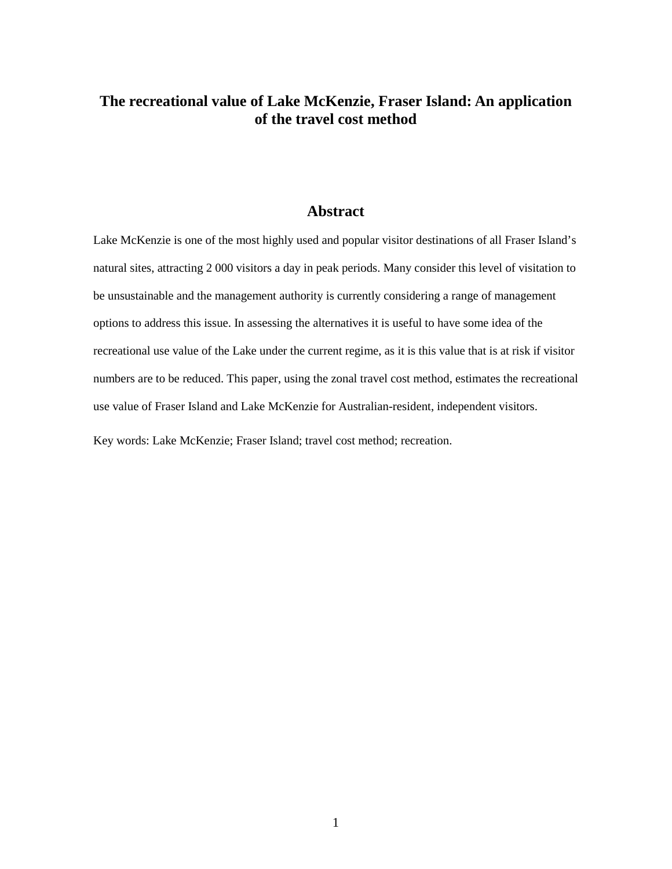# **The recreational value of Lake McKenzie, Fraser Island: An application of the travel cost method**

### **Abstract**

Lake McKenzie is one of the most highly used and popular visitor destinations of all Fraser Island's natural sites, attracting 2 000 visitors a day in peak periods. Many consider this level of visitation to be unsustainable and the management authority is currently considering a range of management options to address this issue. In assessing the alternatives it is useful to have some idea of the recreational use value of the Lake under the current regime, as it is this value that is at risk if visitor numbers are to be reduced. This paper, using the zonal travel cost method, estimates the recreational use value of Fraser Island and Lake McKenzie for Australian-resident, independent visitors.

Key words: Lake McKenzie; Fraser Island; travel cost method; recreation.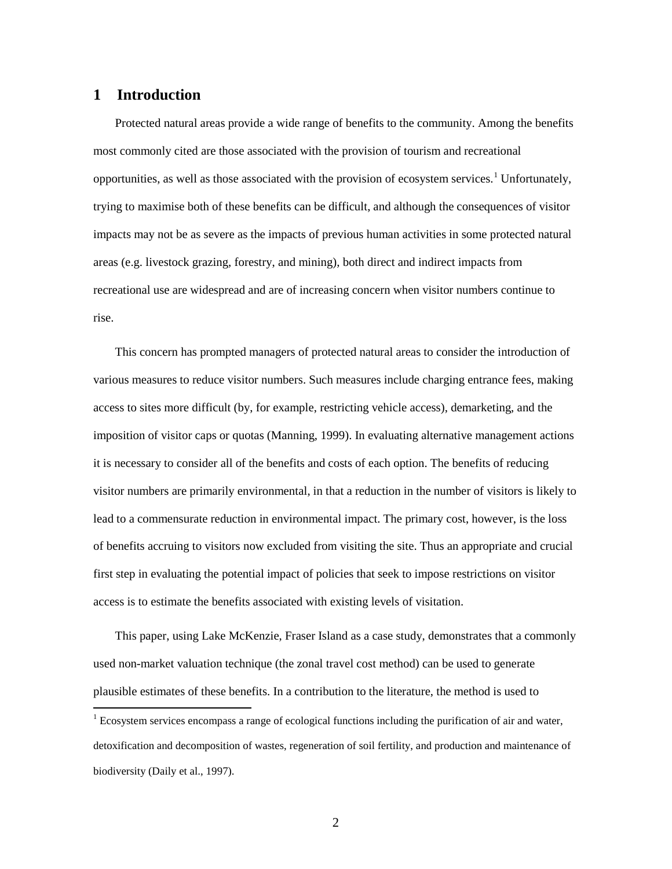### **1 Introduction**

Protected natural areas provide a wide range of benefits to the community. Among the benefits most commonly cited are those associated with the provision of tourism and recreational opportunities, as well as those associated with the provision of ecosystem services. [1](#page-1-0) Unfortunately, trying to maximise both of these benefits can be difficult, and although the consequences of visitor impacts may not be as severe as the impacts of previous human activities in some protected natural areas (e.g. livestock grazing, forestry, and mining), both direct and indirect impacts from recreational use are widespread and are of increasing concern when visitor numbers continue to rise.

This concern has prompted managers of protected natural areas to consider the introduction of various measures to reduce visitor numbers. Such measures include charging entrance fees, making access to sites more difficult (by, for example, restricting vehicle access), demarketing, and the imposition of visitor caps or quotas (Manning, 1999). In evaluating alternative management actions it is necessary to consider all of the benefits and costs of each option. The benefits of reducing visitor numbers are primarily environmental, in that a reduction in the number of visitors is likely to lead to a commensurate reduction in environmental impact. The primary cost, however, is the loss of benefits accruing to visitors now excluded from visiting the site. Thus an appropriate and crucial first step in evaluating the potential impact of policies that seek to impose restrictions on visitor access is to estimate the benefits associated with existing levels of visitation.

This paper, using Lake McKenzie, Fraser Island as a case study, demonstrates that a commonly used non-market valuation technique (the zonal travel cost method) can be used to generate plausible estimates of these benefits. In a contribution to the literature, the method is used to

<span id="page-1-0"></span><sup>&</sup>lt;sup>1</sup> Ecosystem services encompass a range of ecological functions including the purification of air and water, detoxification and decomposition of wastes, regeneration of soil fertility, and production and maintenance of biodiversity (Daily et al., 1997).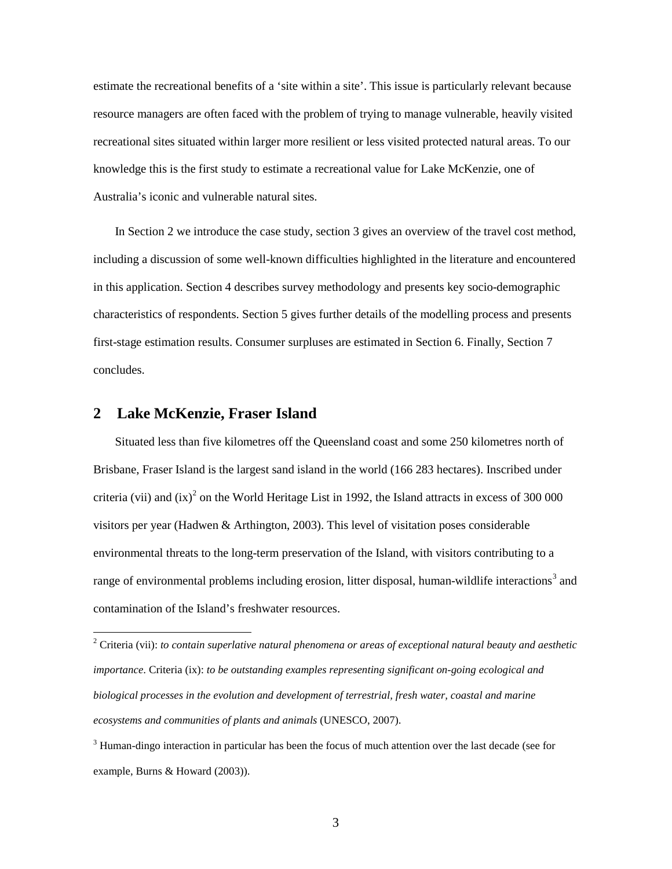estimate the recreational benefits of a 'site within a site'. This issue is particularly relevant because resource managers are often faced with the problem of trying to manage vulnerable, heavily visited recreational sites situated within larger more resilient or less visited protected natural areas. To our knowledge this is the first study to estimate a recreational value for Lake McKenzie, one of Australia's iconic and vulnerable natural sites.

In Section 2 we introduce the case study, section 3 gives an overview of the travel cost method, including a discussion of some well-known difficulties highlighted in the literature and encountered in this application. Section 4 describes survey methodology and presents key socio-demographic characteristics of respondents. Section 5 gives further details of the modelling process and presents first-stage estimation results. Consumer surpluses are estimated in Section 6. Finally, Section 7 concludes.

## **2 Lake McKenzie, Fraser Island**

Situated less than five kilometres off the Queensland coast and some 250 kilometres north of Brisbane, Fraser Island is the largest sand island in the world (166 283 hectares). Inscribed under criteria (vii) and  $(ix)^2$  $(ix)^2$  on the World Heritage List in 1992, the Island attracts in excess of 300 000 visitors per year (Hadwen & Arthington, 2003). This level of visitation poses considerable environmental threats to the long-term preservation of the Island, with visitors contributing to a range of environmental problems including erosion, litter disposal, human-wildlife interactions<sup>[3](#page-2-1)</sup> and contamination of the Island's freshwater resources.

<span id="page-2-0"></span> <sup>2</sup> Criteria (vii): *to contain superlative natural phenomena or areas of exceptional natural beauty and aesthetic importance*. Criteria (ix): *to be outstanding examples representing significant on-going ecological and biological processes in the evolution and development of terrestrial, fresh water, coastal and marine ecosystems and communities of plants and animals* (UNESCO, 2007).

<span id="page-2-1"></span><sup>&</sup>lt;sup>3</sup> Human-dingo interaction in particular has been the focus of much attention over the last decade (see for example, Burns & Howard (2003)).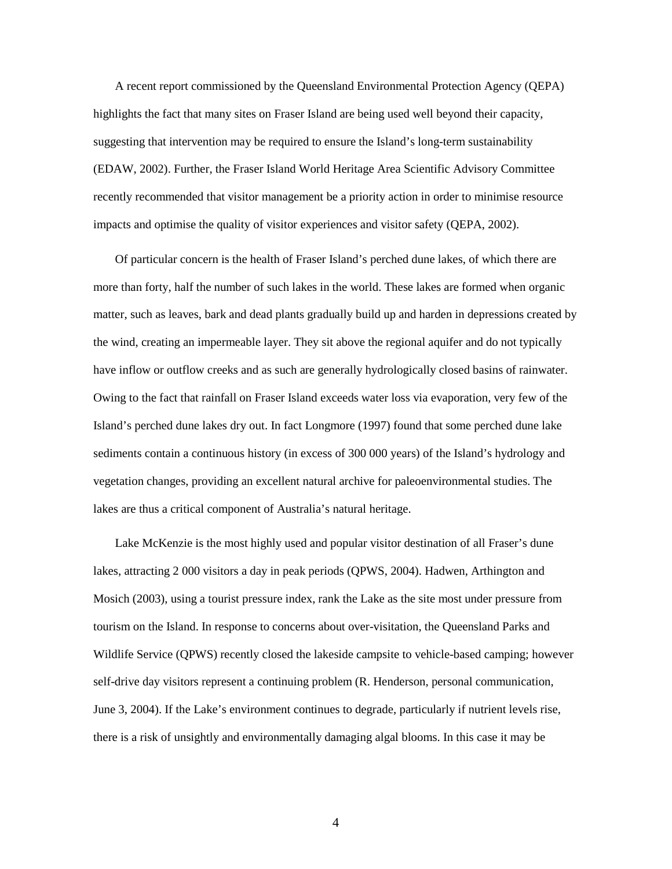A recent report commissioned by the Queensland Environmental Protection Agency (QEPA) highlights the fact that many sites on Fraser Island are being used well beyond their capacity, suggesting that intervention may be required to ensure the Island's long-term sustainability (EDAW, 2002). Further, the Fraser Island World Heritage Area Scientific Advisory Committee recently recommended that visitor management be a priority action in order to minimise resource impacts and optimise the quality of visitor experiences and visitor safety (QEPA, 2002).

Of particular concern is the health of Fraser Island's perched dune lakes, of which there are more than forty, half the number of such lakes in the world. These lakes are formed when organic matter, such as leaves, bark and dead plants gradually build up and harden in depressions created by the wind, creating an impermeable layer. They sit above the regional aquifer and do not typically have inflow or outflow creeks and as such are generally hydrologically closed basins of rainwater. Owing to the fact that rainfall on Fraser Island exceeds water loss via evaporation, very few of the Island's perched dune lakes dry out. In fact Longmore (1997) found that some perched dune lake sediments contain a continuous history (in excess of 300 000 years) of the Island's hydrology and vegetation changes, providing an excellent natural archive for paleoenvironmental studies. The lakes are thus a critical component of Australia's natural heritage.

Lake McKenzie is the most highly used and popular visitor destination of all Fraser's dune lakes, attracting 2 000 visitors a day in peak periods (QPWS, 2004). Hadwen, Arthington and Mosich (2003), using a tourist pressure index, rank the Lake as the site most under pressure from tourism on the Island. In response to concerns about over-visitation, the Queensland Parks and Wildlife Service (QPWS) recently closed the lakeside campsite to vehicle-based camping; however self-drive day visitors represent a continuing problem (R. Henderson, personal communication, June 3, 2004). If the Lake's environment continues to degrade, particularly if nutrient levels rise, there is a risk of unsightly and environmentally damaging algal blooms. In this case it may be

4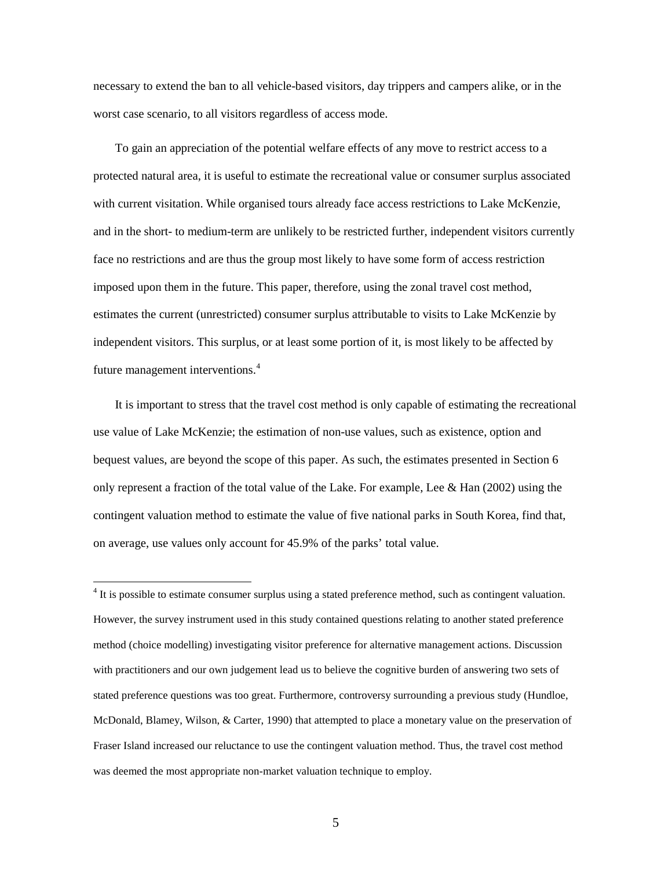necessary to extend the ban to all vehicle-based visitors, day trippers and campers alike, or in the worst case scenario, to all visitors regardless of access mode.

To gain an appreciation of the potential welfare effects of any move to restrict access to a protected natural area, it is useful to estimate the recreational value or consumer surplus associated with current visitation. While organised tours already face access restrictions to Lake McKenzie, and in the short- to medium-term are unlikely to be restricted further, independent visitors currently face no restrictions and are thus the group most likely to have some form of access restriction imposed upon them in the future. This paper, therefore, using the zonal travel cost method, estimates the current (unrestricted) consumer surplus attributable to visits to Lake McKenzie by independent visitors. This surplus, or at least some portion of it, is most likely to be affected by future management interventions.<sup>[4](#page-4-0)</sup>

It is important to stress that the travel cost method is only capable of estimating the recreational use value of Lake McKenzie; the estimation of non-use values, such as existence, option and bequest values, are beyond the scope of this paper. As such, the estimates presented in Section 6 only represent a fraction of the total value of the Lake. For example, Lee  $&$  Han (2002) using the contingent valuation method to estimate the value of five national parks in South Korea, find that, on average, use values only account for 45.9% of the parks' total value.

<span id="page-4-0"></span><sup>4</sup> It is possible to estimate consumer surplus using a stated preference method, such as contingent valuation. However, the survey instrument used in this study contained questions relating to another stated preference method (choice modelling) investigating visitor preference for alternative management actions. Discussion with practitioners and our own judgement lead us to believe the cognitive burden of answering two sets of stated preference questions was too great. Furthermore, controversy surrounding a previous study (Hundloe, McDonald, Blamey, Wilson, & Carter, 1990) that attempted to place a monetary value on the preservation of Fraser Island increased our reluctance to use the contingent valuation method. Thus, the travel cost method was deemed the most appropriate non-market valuation technique to employ.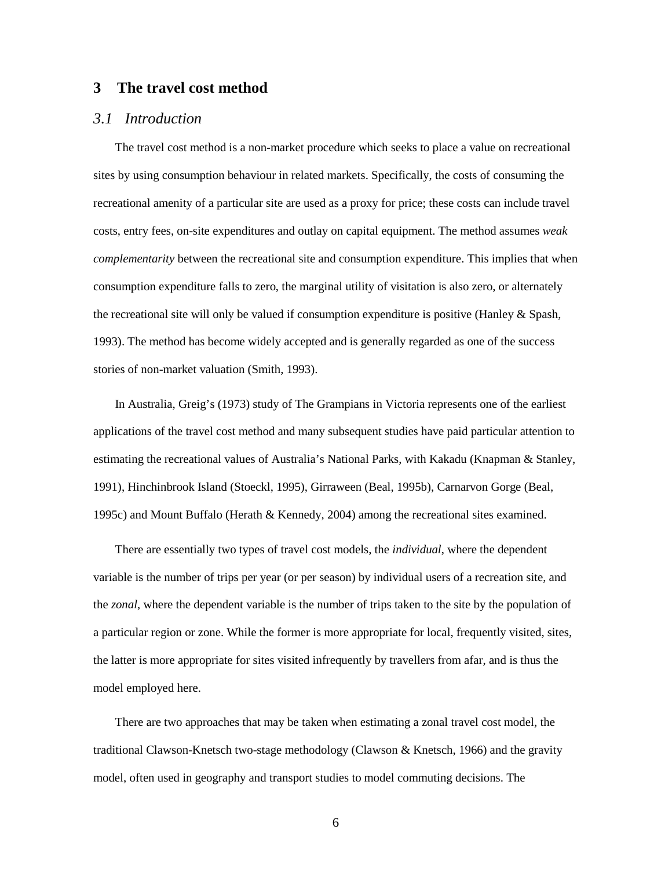## **3 The travel cost method**

### *3.1 Introduction*

The travel cost method is a non-market procedure which seeks to place a value on recreational sites by using consumption behaviour in related markets. Specifically, the costs of consuming the recreational amenity of a particular site are used as a proxy for price; these costs can include travel costs, entry fees, on-site expenditures and outlay on capital equipment. The method assumes *weak complementarity* between the recreational site and consumption expenditure. This implies that when consumption expenditure falls to zero, the marginal utility of visitation is also zero, or alternately the recreational site will only be valued if consumption expenditure is positive (Hanley  $\&$  Spash, 1993). The method has become widely accepted and is generally regarded as one of the success stories of non-market valuation (Smith, 1993).

In Australia, Greig's (1973) study of The Grampians in Victoria represents one of the earliest applications of the travel cost method and many subsequent studies have paid particular attention to estimating the recreational values of Australia's National Parks, with Kakadu (Knapman & Stanley, 1991), Hinchinbrook Island (Stoeckl, 1995), Girraween (Beal, 1995b), Carnarvon Gorge (Beal, 1995c) and Mount Buffalo (Herath & Kennedy, 2004) among the recreational sites examined.

There are essentially two types of travel cost models, the *individual*, where the dependent variable is the number of trips per year (or per season) by individual users of a recreation site, and the *zonal*, where the dependent variable is the number of trips taken to the site by the population of a particular region or zone. While the former is more appropriate for local, frequently visited, sites, the latter is more appropriate for sites visited infrequently by travellers from afar, and is thus the model employed here.

There are two approaches that may be taken when estimating a zonal travel cost model, the traditional Clawson-Knetsch two-stage methodology (Clawson & Knetsch, 1966) and the gravity model, often used in geography and transport studies to model commuting decisions. The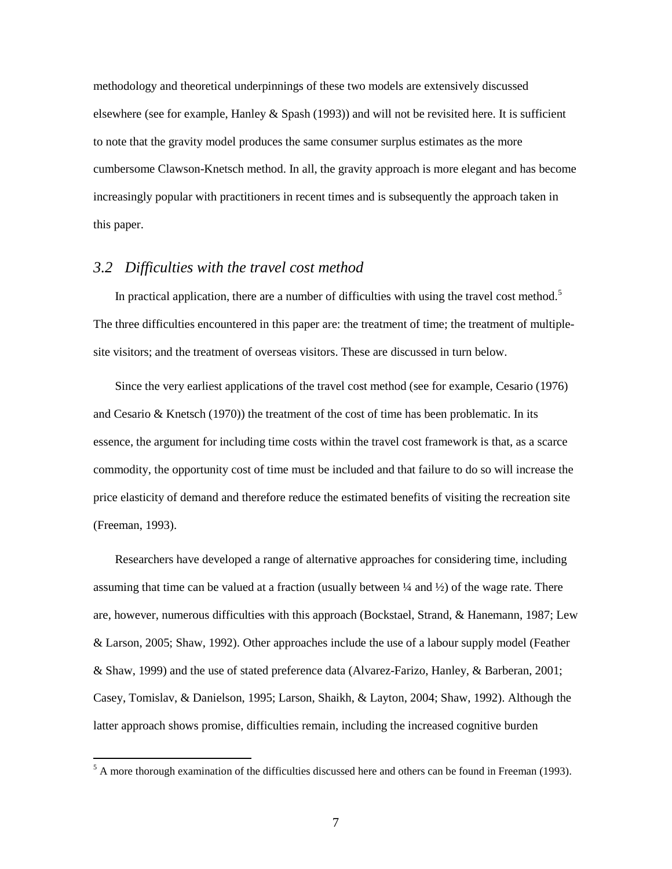methodology and theoretical underpinnings of these two models are extensively discussed elsewhere (see for example, Hanley & Spash (1993)) and will not be revisited here. It is sufficient to note that the gravity model produces the same consumer surplus estimates as the more cumbersome Clawson-Knetsch method. In all, the gravity approach is more elegant and has become increasingly popular with practitioners in recent times and is subsequently the approach taken in this paper.

## *3.2 Difficulties with the travel cost method*

In practical application, there are a number of difficulties with using the travel cost method.<sup>[5](#page-6-0)</sup> The three difficulties encountered in this paper are: the treatment of time; the treatment of multiplesite visitors; and the treatment of overseas visitors. These are discussed in turn below.

Since the very earliest applications of the travel cost method (see for example, Cesario (1976) and Cesario  $\&$  Knetsch (1970)) the treatment of the cost of time has been problematic. In its essence, the argument for including time costs within the travel cost framework is that, as a scarce commodity, the opportunity cost of time must be included and that failure to do so will increase the price elasticity of demand and therefore reduce the estimated benefits of visiting the recreation site (Freeman, 1993).

Researchers have developed a range of alternative approaches for considering time, including assuming that time can be valued at a fraction (usually between  $\frac{1}{4}$  and  $\frac{1}{2}$ ) of the wage rate. There are, however, numerous difficulties with this approach (Bockstael, Strand, & Hanemann, 1987; Lew & Larson, 2005; Shaw, 1992). Other approaches include the use of a labour supply model (Feather & Shaw, 1999) and the use of stated preference data (Alvarez-Farizo, Hanley, & Barberan, 2001; Casey, Tomislav, & Danielson, 1995; Larson, Shaikh, & Layton, 2004; Shaw, 1992). Although the latter approach shows promise, difficulties remain, including the increased cognitive burden

<span id="page-6-0"></span> $<sup>5</sup>$  A more thorough examination of the difficulties discussed here and others can be found in Freeman (1993).</sup>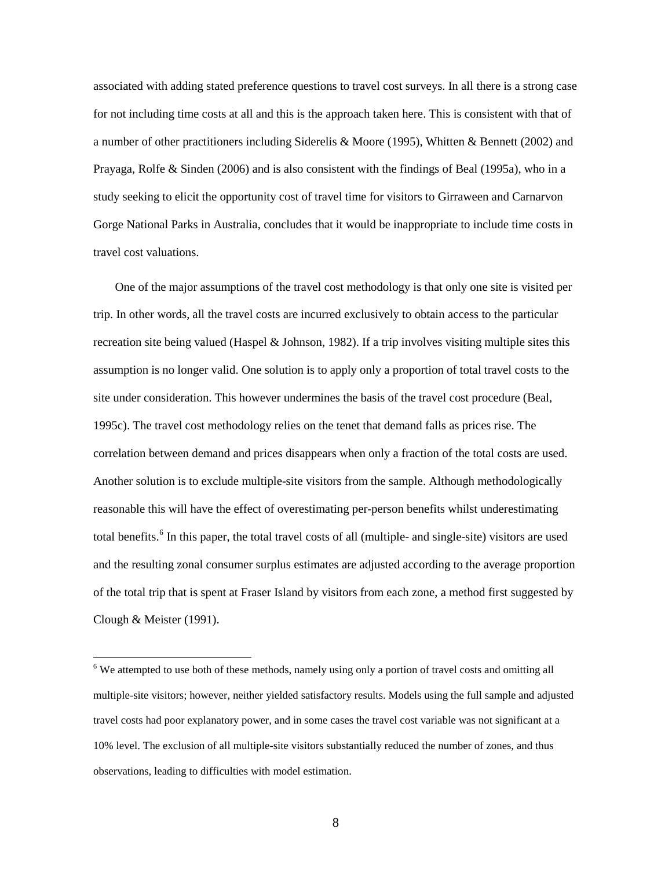associated with adding stated preference questions to travel cost surveys. In all there is a strong case for not including time costs at all and this is the approach taken here. This is consistent with that of a number of other practitioners including Siderelis & Moore (1995), Whitten & Bennett (2002) and Prayaga, Rolfe & Sinden (2006) and is also consistent with the findings of Beal (1995a), who in a study seeking to elicit the opportunity cost of travel time for visitors to Girraween and Carnarvon Gorge National Parks in Australia, concludes that it would be inappropriate to include time costs in travel cost valuations.

One of the major assumptions of the travel cost methodology is that only one site is visited per trip. In other words, all the travel costs are incurred exclusively to obtain access to the particular recreation site being valued (Haspel & Johnson, 1982). If a trip involves visiting multiple sites this assumption is no longer valid. One solution is to apply only a proportion of total travel costs to the site under consideration. This however undermines the basis of the travel cost procedure (Beal, 1995c). The travel cost methodology relies on the tenet that demand falls as prices rise. The correlation between demand and prices disappears when only a fraction of the total costs are used. Another solution is to exclude multiple-site visitors from the sample. Although methodologically reasonable this will have the effect of overestimating per-person benefits whilst underestimating total benefits.<sup>[6](#page-7-0)</sup> In this paper, the total travel costs of all (multiple- and single-site) visitors are used and the resulting zonal consumer surplus estimates are adjusted according to the average proportion of the total trip that is spent at Fraser Island by visitors from each zone, a method first suggested by Clough & Meister (1991).

<span id="page-7-0"></span><sup>&</sup>lt;sup>6</sup> We attempted to use both of these methods, namely using only a portion of travel costs and omitting all multiple-site visitors; however, neither yielded satisfactory results. Models using the full sample and adjusted travel costs had poor explanatory power, and in some cases the travel cost variable was not significant at a 10% level. The exclusion of all multiple-site visitors substantially reduced the number of zones, and thus observations, leading to difficulties with model estimation.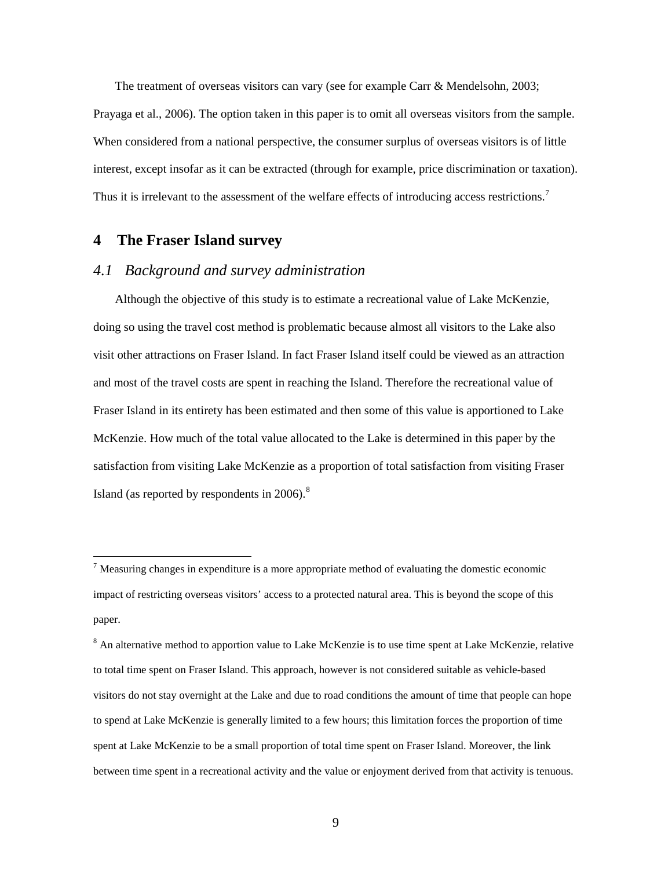The treatment of overseas visitors can vary (see for example Carr & Mendelsohn, 2003; Prayaga et al., 2006). The option taken in this paper is to omit all overseas visitors from the sample. When considered from a national perspective, the consumer surplus of overseas visitors is of little interest, except insofar as it can be extracted (through for example, price discrimination or taxation). Thus it is irrelevant to the assessment of the welfare effects of introducing access restrictions.<sup>[7](#page-8-0)</sup>

### **4 The Fraser Island survey**

### *4.1 Background and survey administration*

Although the objective of this study is to estimate a recreational value of Lake McKenzie, doing so using the travel cost method is problematic because almost all visitors to the Lake also visit other attractions on Fraser Island. In fact Fraser Island itself could be viewed as an attraction and most of the travel costs are spent in reaching the Island. Therefore the recreational value of Fraser Island in its entirety has been estimated and then some of this value is apportioned to Lake McKenzie. How much of the total value allocated to the Lake is determined in this paper by the satisfaction from visiting Lake McKenzie as a proportion of total satisfaction from visiting Fraser Island (as reported by respondents in  $2006$ ).<sup>[8](#page-8-1)</sup>

<span id="page-8-0"></span><sup>&</sup>lt;sup>7</sup> Measuring changes in expenditure is a more appropriate method of evaluating the domestic economic impact of restricting overseas visitors' access to a protected natural area. This is beyond the scope of this paper.

<span id="page-8-1"></span><sup>&</sup>lt;sup>8</sup> An alternative method to apportion value to Lake McKenzie is to use time spent at Lake McKenzie, relative to total time spent on Fraser Island. This approach, however is not considered suitable as vehicle-based visitors do not stay overnight at the Lake and due to road conditions the amount of time that people can hope to spend at Lake McKenzie is generally limited to a few hours; this limitation forces the proportion of time spent at Lake McKenzie to be a small proportion of total time spent on Fraser Island. Moreover, the link between time spent in a recreational activity and the value or enjoyment derived from that activity is tenuous.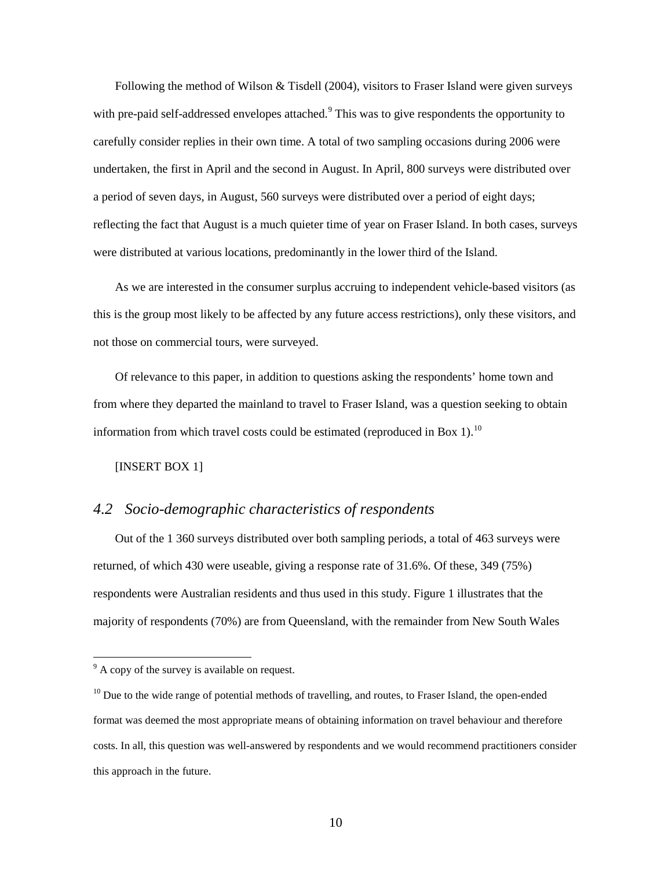Following the method of Wilson & Tisdell (2004), visitors to Fraser Island were given surveys with pre-paid self-addressed envelopes attached.<sup>[9](#page-9-0)</sup> This was to give respondents the opportunity to carefully consider replies in their own time. A total of two sampling occasions during 2006 were undertaken, the first in April and the second in August. In April, 800 surveys were distributed over a period of seven days, in August, 560 surveys were distributed over a period of eight days; reflecting the fact that August is a much quieter time of year on Fraser Island. In both cases, surveys were distributed at various locations, predominantly in the lower third of the Island.

As we are interested in the consumer surplus accruing to independent vehicle-based visitors (as this is the group most likely to be affected by any future access restrictions), only these visitors, and not those on commercial tours, were surveyed.

Of relevance to this paper, in addition to questions asking the respondents' home town and from where they departed the mainland to travel to Fraser Island, was a question seeking to obtain information from which travel costs could be estimated (reproduced in Box 1).<sup>[10](#page-9-1)</sup>

#### [INSERT BOX 1]

## *4.2 Socio-demographic characteristics of respondents*

Out of the 1 360 surveys distributed over both sampling periods, a total of 463 surveys were returned, of which 430 were useable, giving a response rate of 31.6%. Of these, 349 (75%) respondents were Australian residents and thus used in this study. Figure 1 illustrates that the majority of respondents (70%) are from Queensland, with the remainder from New South Wales

<span id="page-9-0"></span> $9<sup>9</sup>$  A copy of the survey is available on request.

<span id="page-9-1"></span> $10$  Due to the wide range of potential methods of travelling, and routes, to Fraser Island, the open-ended format was deemed the most appropriate means of obtaining information on travel behaviour and therefore costs. In all, this question was well-answered by respondents and we would recommend practitioners consider this approach in the future.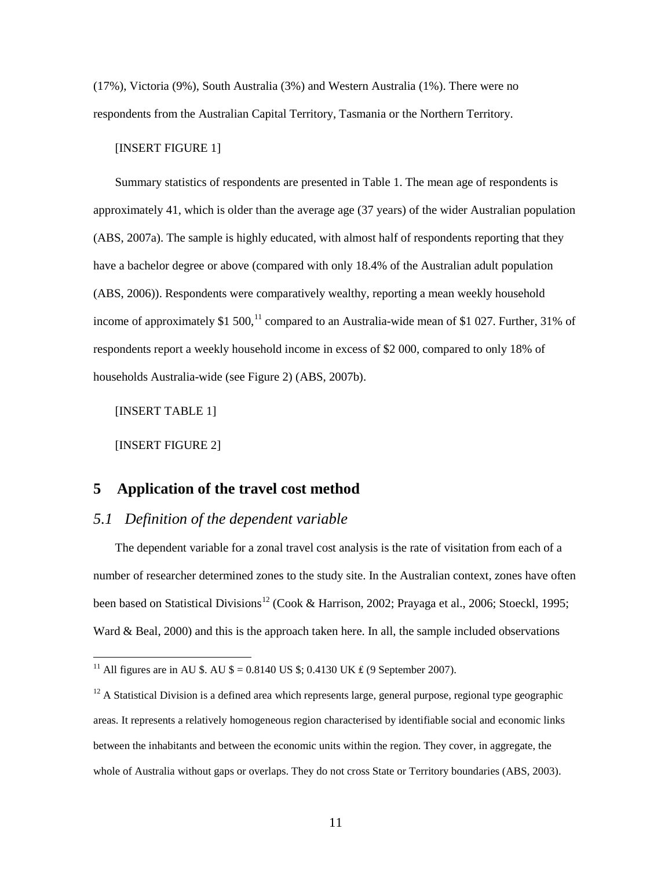(17%), Victoria (9%), South Australia (3%) and Western Australia (1%). There were no respondents from the Australian Capital Territory, Tasmania or the Northern Territory.

#### [INSERT FIGURE 1]

Summary statistics of respondents are presented in Table 1. The mean age of respondents is approximately 41, which is older than the average age (37 years) of the wider Australian population (ABS, 2007a). The sample is highly educated, with almost half of respondents reporting that they have a bachelor degree or above (compared with only 18.4% of the Australian adult population (ABS, 2006)). Respondents were comparatively wealthy, reporting a mean weekly household income of approximately \$1 500,<sup>[11](#page-10-0)</sup> compared to an Australia-wide mean of \$1 027. Further, 31% of respondents report a weekly household income in excess of \$2 000, compared to only 18% of households Australia-wide (see Figure 2) (ABS, 2007b).

[INSERT TABLE 1]

[INSERT FIGURE 2]

## **5 Application of the travel cost method**

## *5.1 Definition of the dependent variable*

The dependent variable for a zonal travel cost analysis is the rate of visitation from each of a number of researcher determined zones to the study site. In the Australian context, zones have often been based on Statistical Divisions<sup>[12](#page-10-1)</sup> (Cook & Harrison, 2002; Prayaga et al., 2006; Stoeckl, 1995; Ward & Beal, 2000) and this is the approach taken here. In all, the sample included observations

<span id="page-10-0"></span><sup>&</sup>lt;sup>11</sup> All figures are in AU \$. AU \$ = 0.8140 US \$; 0.4130 UK  $\pounds$  (9 September 2007).

<span id="page-10-1"></span> $12$  A Statistical Division is a defined area which represents large, general purpose, regional type geographic areas. It represents a relatively homogeneous region characterised by identifiable social and economic links between the inhabitants and between the economic units within the region. They cover, in aggregate, the whole of Australia without gaps or overlaps. They do not cross State or Territory boundaries (ABS, 2003).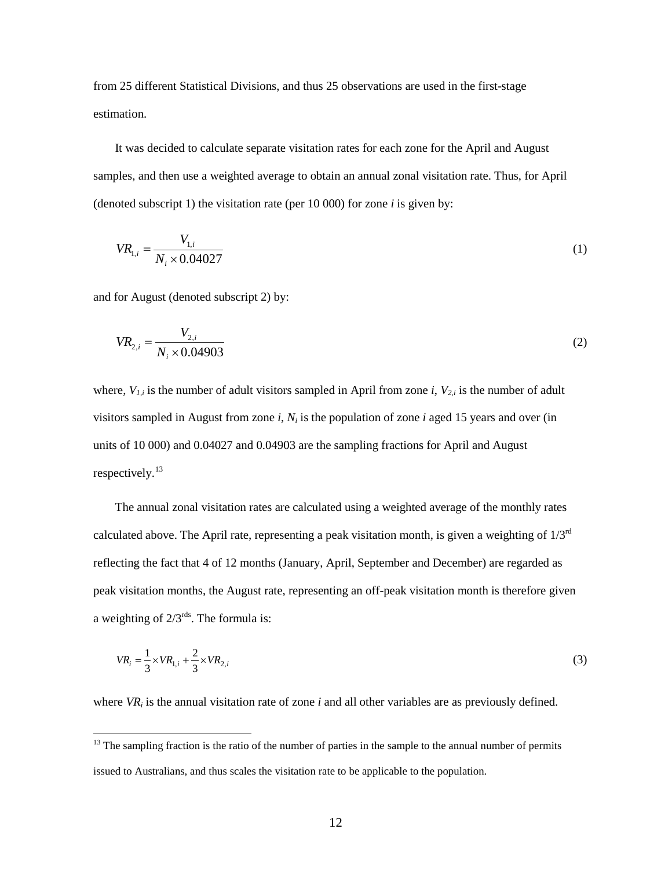from 25 different Statistical Divisions, and thus 25 observations are used in the first-stage estimation.

It was decided to calculate separate visitation rates for each zone for the April and August samples, and then use a weighted average to obtain an annual zonal visitation rate. Thus, for April (denoted subscript 1) the visitation rate (per 10 000) for zone *i* is given by:

$$
VR_{1,i} = \frac{V_{1,i}}{N_i \times 0.04027}
$$
 (1)

and for August (denoted subscript 2) by:

$$
VR_{2,i} = \frac{V_{2,i}}{N_i \times 0.04903}
$$
 (2)

where,  $V_{1,i}$  is the number of adult visitors sampled in April from zone *i*,  $V_{2,i}$  is the number of adult visitors sampled in August from zone  $i$ ,  $N_i$  is the population of zone  $i$  aged 15 years and over (in units of 10 000) and 0.04027 and 0.04903 are the sampling fractions for April and August respectively.[13](#page-11-0)

The annual zonal visitation rates are calculated using a weighted average of the monthly rates calculated above. The April rate, representing a peak visitation month, is given a weighting of  $1/3^{rd}$ reflecting the fact that 4 of 12 months (January, April, September and December) are regarded as peak visitation months, the August rate, representing an off-peak visitation month is therefore given a weighting of  $2/3^{rds}$ . The formula is:

$$
VR_i = \frac{1}{3} \times VR_{1,i} + \frac{2}{3} \times VR_{2,i}
$$
 (3)

where *VR<sub>i</sub>* is the annual visitation rate of zone *i* and all other variables are as previously defined.

<span id="page-11-0"></span><sup>&</sup>lt;sup>13</sup> The sampling fraction is the ratio of the number of parties in the sample to the annual number of permits issued to Australians, and thus scales the visitation rate to be applicable to the population.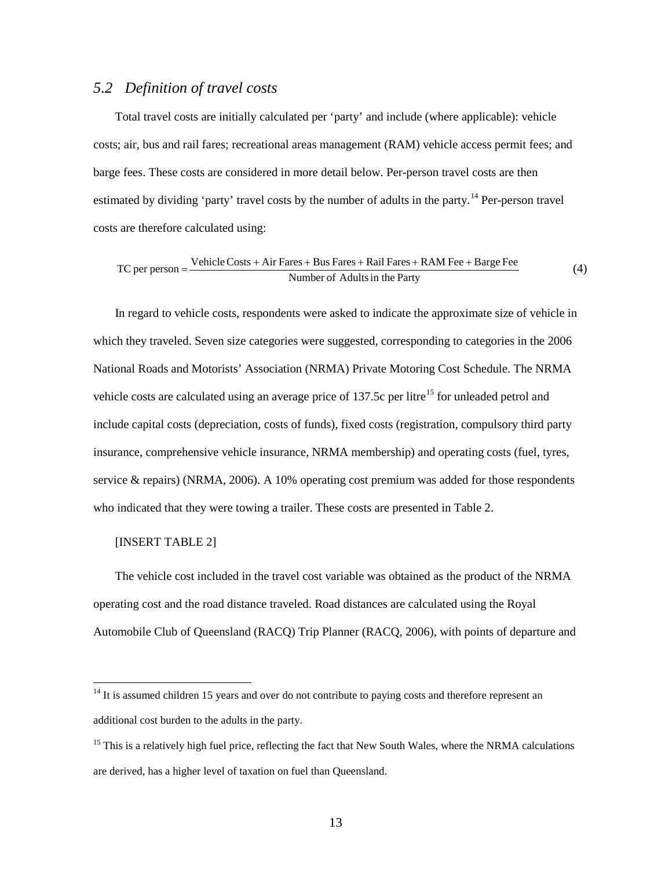## *5.2 Definition of travel costs*

Total travel costs are initially calculated per 'party' and include (where applicable): vehicle costs; air, bus and rail fares; recreational areas management (RAM) vehicle access permit fees; and barge fees. These costs are considered in more detail below. Per-person travel costs are then estimated by dividing 'party' travel costs by the number of adults in the party.<sup>[14](#page-12-0)</sup> Per-person travel costs are therefore calculated using:

$$
TC per person = \frac{Vehicle \text{Costs} + Air \text{ Fares} + \text{Bus \text{ Fares} + \text{Rail \text{ Fares} + \text{RAM} \text{Fee} + \text{Barge} \text{Fee}}}{Number \text{Mumber of \text{Adults in the Party}}}
$$
(4)

In regard to vehicle costs, respondents were asked to indicate the approximate size of vehicle in which they traveled. Seven size categories were suggested, corresponding to categories in the 2006 National Roads and Motorists' Association (NRMA) Private Motoring Cost Schedule. The NRMA vehicle costs are calculated using an average price of 137.5c per litre<sup>[15](#page-12-1)</sup> for unleaded petrol and include capital costs (depreciation, costs of funds), fixed costs (registration, compulsory third party insurance, comprehensive vehicle insurance, NRMA membership) and operating costs (fuel, tyres, service & repairs) (NRMA, 2006). A 10% operating cost premium was added for those respondents who indicated that they were towing a trailer. These costs are presented in Table 2.

#### [INSERT TABLE 2]

The vehicle cost included in the travel cost variable was obtained as the product of the NRMA operating cost and the road distance traveled. Road distances are calculated using the Royal Automobile Club of Queensland (RACQ) Trip Planner (RACQ, 2006), with points of departure and

<span id="page-12-0"></span><sup>&</sup>lt;sup>14</sup> It is assumed children 15 years and over do not contribute to paying costs and therefore represent an additional cost burden to the adults in the party.

<span id="page-12-1"></span><sup>&</sup>lt;sup>15</sup> This is a relatively high fuel price, reflecting the fact that New South Wales, where the NRMA calculations are derived, has a higher level of taxation on fuel than Queensland.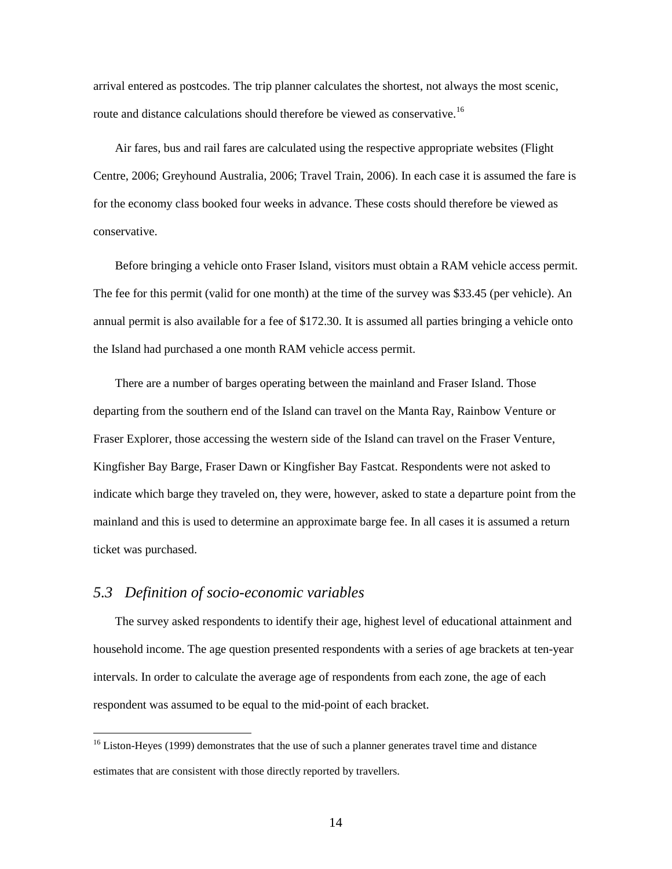arrival entered as postcodes. The trip planner calculates the shortest, not always the most scenic, route and distance calculations should therefore be viewed as conservative.<sup>[16](#page-13-0)</sup>

Air fares, bus and rail fares are calculated using the respective appropriate websites (Flight Centre, 2006; Greyhound Australia, 2006; Travel Train, 2006). In each case it is assumed the fare is for the economy class booked four weeks in advance. These costs should therefore be viewed as conservative.

Before bringing a vehicle onto Fraser Island, visitors must obtain a RAM vehicle access permit. The fee for this permit (valid for one month) at the time of the survey was \$33.45 (per vehicle). An annual permit is also available for a fee of \$172.30. It is assumed all parties bringing a vehicle onto the Island had purchased a one month RAM vehicle access permit.

There are a number of barges operating between the mainland and Fraser Island. Those departing from the southern end of the Island can travel on the Manta Ray, Rainbow Venture or Fraser Explorer, those accessing the western side of the Island can travel on the Fraser Venture, Kingfisher Bay Barge, Fraser Dawn or Kingfisher Bay Fastcat. Respondents were not asked to indicate which barge they traveled on, they were, however, asked to state a departure point from the mainland and this is used to determine an approximate barge fee. In all cases it is assumed a return ticket was purchased.

## *5.3 Definition of socio-economic variables*

The survey asked respondents to identify their age, highest level of educational attainment and household income. The age question presented respondents with a series of age brackets at ten-year intervals. In order to calculate the average age of respondents from each zone, the age of each respondent was assumed to be equal to the mid-point of each bracket.

<span id="page-13-0"></span><sup>&</sup>lt;sup>16</sup> Liston-Heyes (1999) demonstrates that the use of such a planner generates travel time and distance estimates that are consistent with those directly reported by travellers.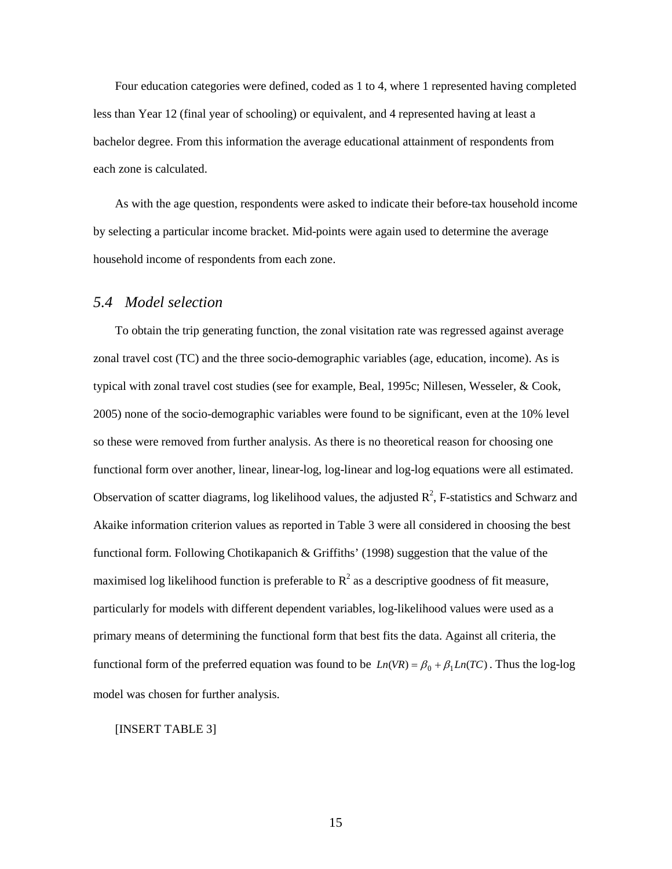Four education categories were defined, coded as 1 to 4, where 1 represented having completed less than Year 12 (final year of schooling) or equivalent, and 4 represented having at least a bachelor degree. From this information the average educational attainment of respondents from each zone is calculated.

As with the age question, respondents were asked to indicate their before-tax household income by selecting a particular income bracket. Mid-points were again used to determine the average household income of respondents from each zone.

### *5.4 Model selection*

To obtain the trip generating function, the zonal visitation rate was regressed against average zonal travel cost (TC) and the three socio-demographic variables (age, education, income). As is typical with zonal travel cost studies (see for example, Beal, 1995c; Nillesen, Wesseler, & Cook, 2005) none of the socio-demographic variables were found to be significant, even at the 10% level so these were removed from further analysis. As there is no theoretical reason for choosing one functional form over another, linear, linear-log, log-linear and log-log equations were all estimated. Observation of scatter diagrams, log likelihood values, the adjusted  $R^2$ , F-statistics and Schwarz and Akaike information criterion values as reported in Table 3 were all considered in choosing the best functional form. Following Chotikapanich & Griffiths' (1998) suggestion that the value of the maximised log likelihood function is preferable to  $R^2$  as a descriptive goodness of fit measure, particularly for models with different dependent variables, log-likelihood values were used as a primary means of determining the functional form that best fits the data. Against all criteria, the functional form of the preferred equation was found to be  $Ln(VR) = \beta_0 + \beta_1 Ln(TC)$ . Thus the log-log model was chosen for further analysis.

[INSERT TABLE 3]

15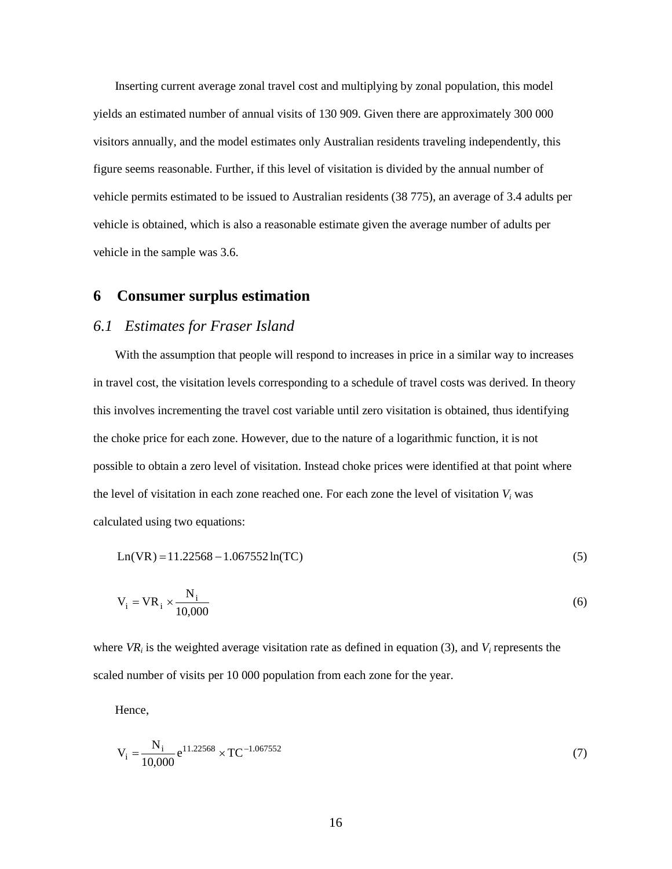Inserting current average zonal travel cost and multiplying by zonal population, this model yields an estimated number of annual visits of 130 909. Given there are approximately 300 000 visitors annually, and the model estimates only Australian residents traveling independently, this figure seems reasonable. Further, if this level of visitation is divided by the annual number of vehicle permits estimated to be issued to Australian residents (38 775), an average of 3.4 adults per vehicle is obtained, which is also a reasonable estimate given the average number of adults per vehicle in the sample was 3.6.

## **6 Consumer surplus estimation**

## *6.1 Estimates for Fraser Island*

With the assumption that people will respond to increases in price in a similar way to increases in travel cost, the visitation levels corresponding to a schedule of travel costs was derived. In theory this involves incrementing the travel cost variable until zero visitation is obtained, thus identifying the choke price for each zone. However, due to the nature of a logarithmic function, it is not possible to obtain a zero level of visitation. Instead choke prices were identified at that point where the level of visitation in each zone reached one. For each zone the level of visitation  $V_i$  was calculated using two equations:

$$
Ln(VR) = 11.22568 - 1.067552 ln(TC)
$$
\n(5)

$$
V_i = VR_i \times \frac{N_i}{10,000}
$$
 (6)

where  $VR_i$  is the weighted average visitation rate as defined in equation (3), and  $V_i$  represents the scaled number of visits per 10 000 population from each zone for the year.

Hence,

$$
V_i = \frac{N_i}{10,000} e^{11.22568} \times TC^{-1.067552}
$$
 (7)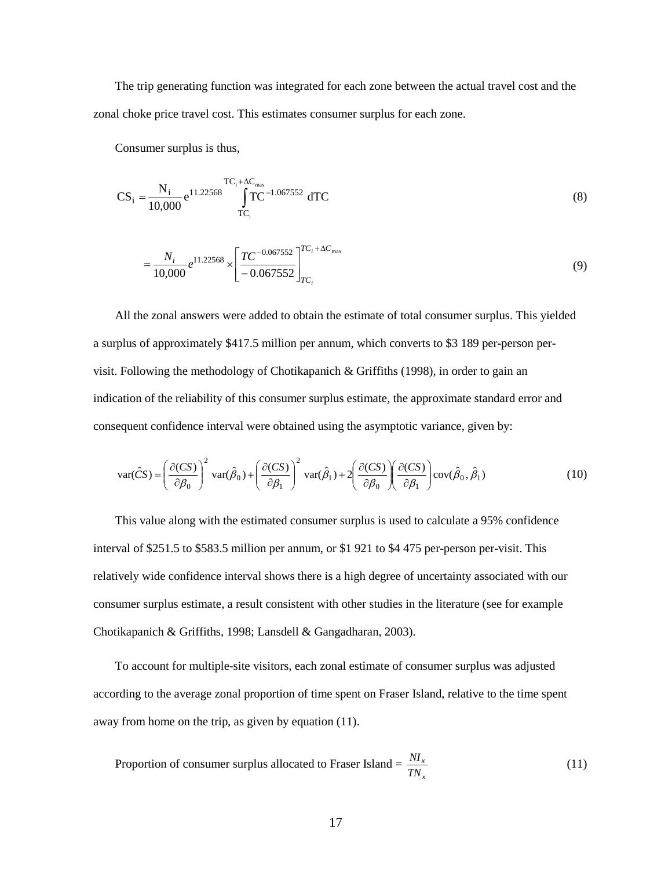The trip generating function was integrated for each zone between the actual travel cost and the zonal choke price travel cost. This estimates consumer surplus for each zone.

Consumer surplus is thus,

$$
CS_{i} = \frac{N_{i}}{10,000} e^{11.22568} \int_{TC_{i}}^{TC_{i}+\Delta C_{max}} T C^{-1.067552} dTC
$$
\n(8)

$$
=\frac{N_i}{10,000}e^{11.22568} \times \left[\frac{TC^{-0.067552}}{-0.067552}\right]^{TC_i + \Delta C_{\text{max}}}_{TC_i}
$$
(9)

All the zonal answers were added to obtain the estimate of total consumer surplus. This yielded a surplus of approximately \$417.5 million per annum, which converts to \$3 189 per-person pervisit. Following the methodology of Chotikapanich & Griffiths (1998), in order to gain an indication of the reliability of this consumer surplus estimate, the approximate standard error and consequent confidence interval were obtained using the asymptotic variance, given by:

$$
\text{var}(\hat{C}S) = \left(\frac{\partial(CS)}{\partial \beta_0}\right)^2 \text{var}(\hat{\beta}_0) + \left(\frac{\partial(CS)}{\partial \beta_1}\right)^2 \text{var}(\hat{\beta}_1) + 2\left(\frac{\partial(CS)}{\partial \beta_0}\right) \left(\frac{\partial(CS)}{\partial \beta_1}\right) \text{cov}(\hat{\beta}_0, \hat{\beta}_1)
$$
(10)

This value along with the estimated consumer surplus is used to calculate a 95% confidence interval of \$251.5 to \$583.5 million per annum, or \$1 921 to \$4 475 per-person per-visit. This relatively wide confidence interval shows there is a high degree of uncertainty associated with our consumer surplus estimate, a result consistent with other studies in the literature (see for example Chotikapanich & Griffiths, 1998; Lansdell & Gangadharan, 2003).

To account for multiple-site visitors, each zonal estimate of consumer surplus was adjusted according to the average zonal proportion of time spent on Fraser Island, relative to the time spent away from home on the trip, as given by equation (11).

Proportion of consumer surplus allocated to Fraser Island = 
$$
\frac{NI_x}{TN_x}
$$
 (11)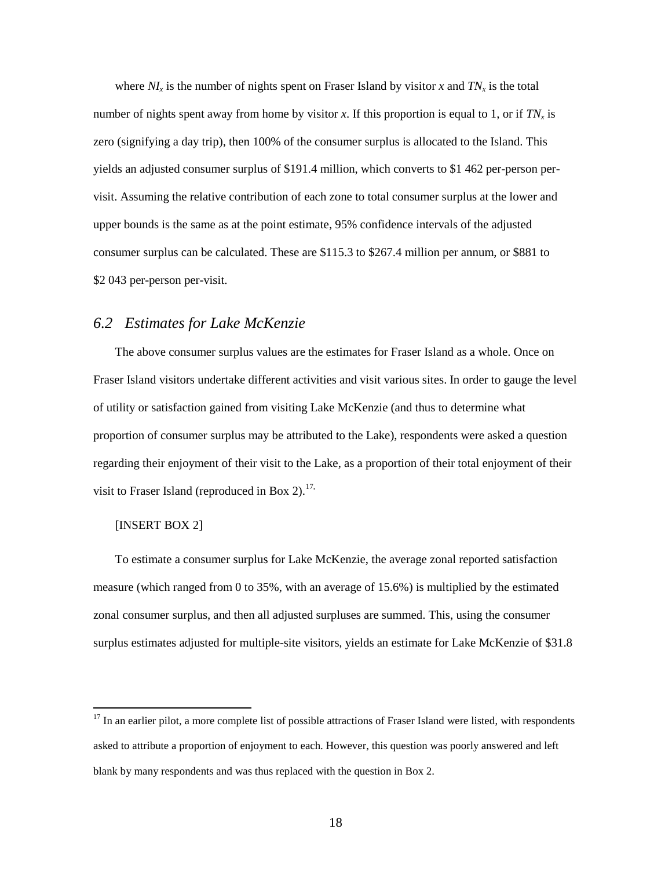where  $NI_x$  is the number of nights spent on Fraser Island by visitor *x* and  $TN_x$  is the total number of nights spent away from home by visitor x. If this proportion is equal to 1, or if  $TN_x$  is zero (signifying a day trip), then 100% of the consumer surplus is allocated to the Island. This yields an adjusted consumer surplus of \$191.4 million, which converts to \$1 462 per-person pervisit. Assuming the relative contribution of each zone to total consumer surplus at the lower and upper bounds is the same as at the point estimate, 95% confidence intervals of the adjusted consumer surplus can be calculated. These are \$115.3 to \$267.4 million per annum, or \$881 to \$2 043 per-person per-visit.

### *6.2 Estimates for Lake McKenzie*

The above consumer surplus values are the estimates for Fraser Island as a whole. Once on Fraser Island visitors undertake different activities and visit various sites. In order to gauge the level of utility or satisfaction gained from visiting Lake McKenzie (and thus to determine what proportion of consumer surplus may be attributed to the Lake), respondents were asked a question regarding their enjoyment of their visit to the Lake, as a proportion of their total enjoyment of their visit to Fraser Island (reproduced in Box 2). $^{17}$  $^{17}$  $^{17}$ ,

### [INSERT BOX 2]

To estimate a consumer surplus for Lake McKenzie, the average zonal reported satisfaction measure (which ranged from 0 to 35%, with an average of 15.6%) is multiplied by the estimated zonal consumer surplus, and then all adjusted surpluses are summed. This, using the consumer surplus estimates adjusted for multiple-site visitors, yields an estimate for Lake McKenzie of \$31.8

<span id="page-17-0"></span> $17$  In an earlier pilot, a more complete list of possible attractions of Fraser Island were listed, with respondents asked to attribute a proportion of enjoyment to each. However, this question was poorly answered and left blank by many respondents and was thus replaced with the question in Box 2.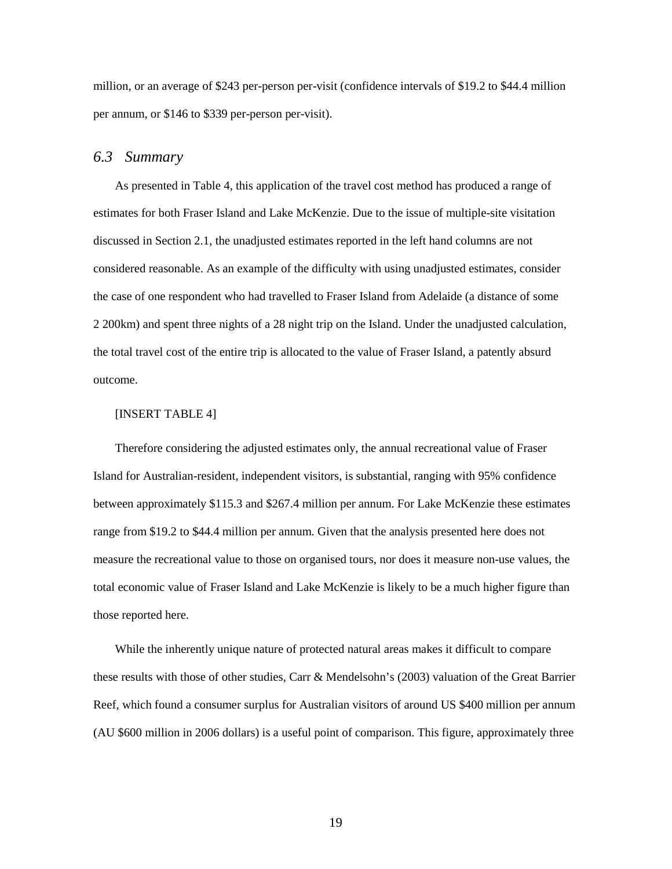million, or an average of \$243 per-person per-visit (confidence intervals of \$19.2 to \$44.4 million per annum, or \$146 to \$339 per-person per-visit).

### *6.3 Summary*

As presented in Table 4, this application of the travel cost method has produced a range of estimates for both Fraser Island and Lake McKenzie. Due to the issue of multiple-site visitation discussed in Section 2.1, the unadjusted estimates reported in the left hand columns are not considered reasonable. As an example of the difficulty with using unadjusted estimates, consider the case of one respondent who had travelled to Fraser Island from Adelaide (a distance of some 2 200km) and spent three nights of a 28 night trip on the Island. Under the unadjusted calculation, the total travel cost of the entire trip is allocated to the value of Fraser Island, a patently absurd outcome.

#### [INSERT TABLE 4]

Therefore considering the adjusted estimates only, the annual recreational value of Fraser Island for Australian-resident, independent visitors, is substantial, ranging with 95% confidence between approximately \$115.3 and \$267.4 million per annum. For Lake McKenzie these estimates range from \$19.2 to \$44.4 million per annum. Given that the analysis presented here does not measure the recreational value to those on organised tours, nor does it measure non-use values, the total economic value of Fraser Island and Lake McKenzie is likely to be a much higher figure than those reported here.

While the inherently unique nature of protected natural areas makes it difficult to compare these results with those of other studies, Carr & Mendelsohn's (2003) valuation of the Great Barrier Reef, which found a consumer surplus for Australian visitors of around US \$400 million per annum (AU \$600 million in 2006 dollars) is a useful point of comparison. This figure, approximately three

19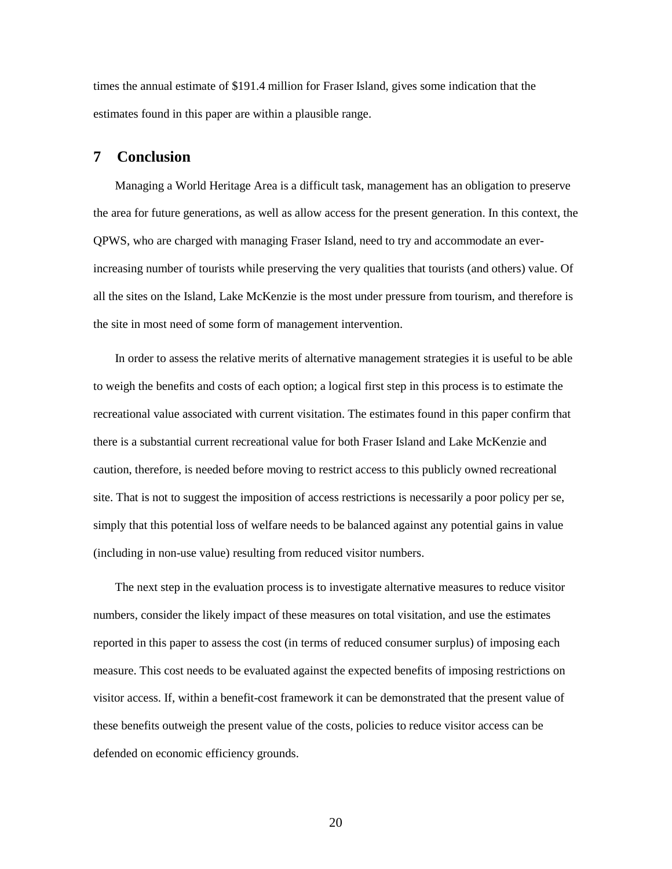times the annual estimate of \$191.4 million for Fraser Island, gives some indication that the estimates found in this paper are within a plausible range.

### **7 Conclusion**

Managing a World Heritage Area is a difficult task, management has an obligation to preserve the area for future generations, as well as allow access for the present generation. In this context, the QPWS, who are charged with managing Fraser Island, need to try and accommodate an everincreasing number of tourists while preserving the very qualities that tourists (and others) value. Of all the sites on the Island, Lake McKenzie is the most under pressure from tourism, and therefore is the site in most need of some form of management intervention.

In order to assess the relative merits of alternative management strategies it is useful to be able to weigh the benefits and costs of each option; a logical first step in this process is to estimate the recreational value associated with current visitation. The estimates found in this paper confirm that there is a substantial current recreational value for both Fraser Island and Lake McKenzie and caution, therefore, is needed before moving to restrict access to this publicly owned recreational site. That is not to suggest the imposition of access restrictions is necessarily a poor policy per se, simply that this potential loss of welfare needs to be balanced against any potential gains in value (including in non-use value) resulting from reduced visitor numbers.

The next step in the evaluation process is to investigate alternative measures to reduce visitor numbers, consider the likely impact of these measures on total visitation, and use the estimates reported in this paper to assess the cost (in terms of reduced consumer surplus) of imposing each measure. This cost needs to be evaluated against the expected benefits of imposing restrictions on visitor access. If, within a benefit-cost framework it can be demonstrated that the present value of these benefits outweigh the present value of the costs, policies to reduce visitor access can be defended on economic efficiency grounds.

20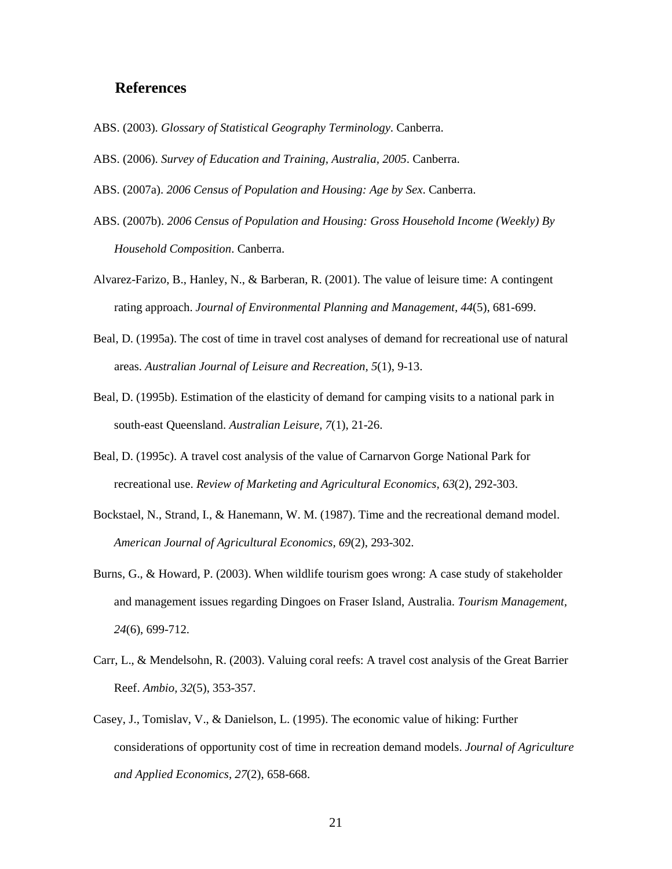## **References**

- ABS. (2003). *Glossary of Statistical Geography Terminology*. Canberra.
- ABS. (2006). *Survey of Education and Training, Australia, 2005*. Canberra.
- ABS. (2007a). *2006 Census of Population and Housing: Age by Sex*. Canberra.
- ABS. (2007b). *2006 Census of Population and Housing: Gross Household Income (Weekly) By Household Composition*. Canberra.
- Alvarez-Farizo, B., Hanley, N., & Barberan, R. (2001). The value of leisure time: A contingent rating approach. *Journal of Environmental Planning and Management, 44*(5), 681-699.
- Beal, D. (1995a). The cost of time in travel cost analyses of demand for recreational use of natural areas. *Australian Journal of Leisure and Recreation, 5*(1), 9-13.
- Beal, D. (1995b). Estimation of the elasticity of demand for camping visits to a national park in south-east Queensland. *Australian Leisure, 7*(1), 21-26.
- Beal, D. (1995c). A travel cost analysis of the value of Carnarvon Gorge National Park for recreational use. *Review of Marketing and Agricultural Economics, 63*(2), 292-303.
- Bockstael, N., Strand, I., & Hanemann, W. M. (1987). Time and the recreational demand model. *American Journal of Agricultural Economics, 69*(2), 293-302.
- Burns, G., & Howard, P. (2003). When wildlife tourism goes wrong: A case study of stakeholder and management issues regarding Dingoes on Fraser Island, Australia. *Tourism Management, 24*(6), 699-712.
- Carr, L., & Mendelsohn, R. (2003). Valuing coral reefs: A travel cost analysis of the Great Barrier Reef. *Ambio, 32*(5), 353-357.
- Casey, J., Tomislav, V., & Danielson, L. (1995). The economic value of hiking: Further considerations of opportunity cost of time in recreation demand models. *Journal of Agriculture and Applied Economics, 27*(2), 658-668.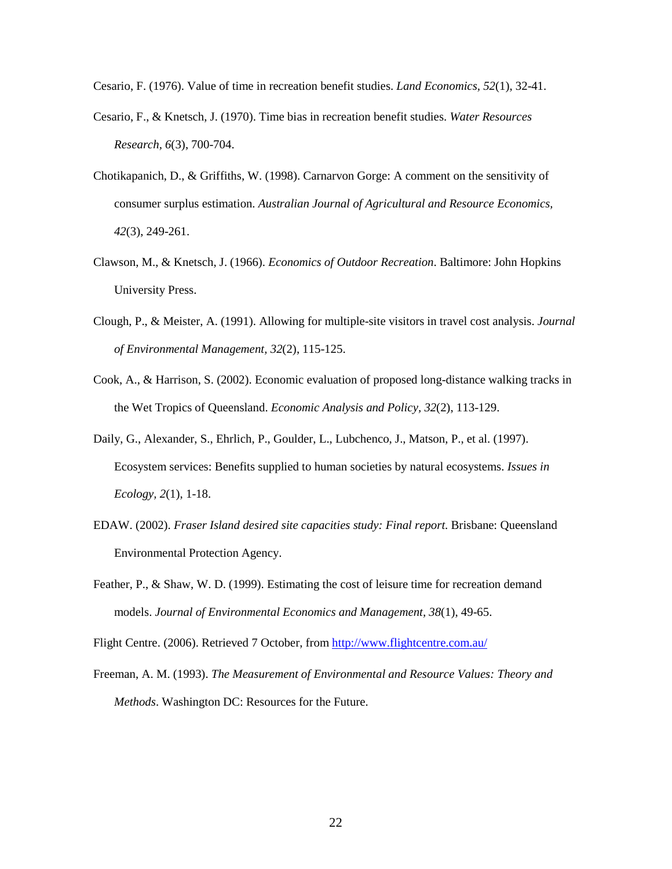Cesario, F. (1976). Value of time in recreation benefit studies. *Land Economics, 52*(1), 32-41.

- Cesario, F., & Knetsch, J. (1970). Time bias in recreation benefit studies. *Water Resources Research, 6*(3), 700-704.
- Chotikapanich, D., & Griffiths, W. (1998). Carnarvon Gorge: A comment on the sensitivity of consumer surplus estimation. *Australian Journal of Agricultural and Resource Economics, 42*(3), 249-261.
- Clawson, M., & Knetsch, J. (1966). *Economics of Outdoor Recreation*. Baltimore: John Hopkins University Press.
- Clough, P., & Meister, A. (1991). Allowing for multiple-site visitors in travel cost analysis. *Journal of Environmental Management, 32*(2), 115-125.
- Cook, A., & Harrison, S. (2002). Economic evaluation of proposed long-distance walking tracks in the Wet Tropics of Queensland. *Economic Analysis and Policy, 32*(2), 113-129.
- Daily, G., Alexander, S., Ehrlich, P., Goulder, L., Lubchenco, J., Matson, P., et al. (1997). Ecosystem services: Benefits supplied to human societies by natural ecosystems. *Issues in Ecology, 2*(1), 1-18.
- EDAW. (2002). *Fraser Island desired site capacities study: Final report*. Brisbane: Queensland Environmental Protection Agency.
- Feather, P., & Shaw, W. D. (1999). Estimating the cost of leisure time for recreation demand models. *Journal of Environmental Economics and Management, 38*(1), 49-65.

Flight Centre. (2006). Retrieved 7 October, fro[m http://www.flightcentre.com.au/](http://www.flightcentre.com.au/)

Freeman, A. M. (1993). *The Measurement of Environmental and Resource Values: Theory and Methods*. Washington DC: Resources for the Future.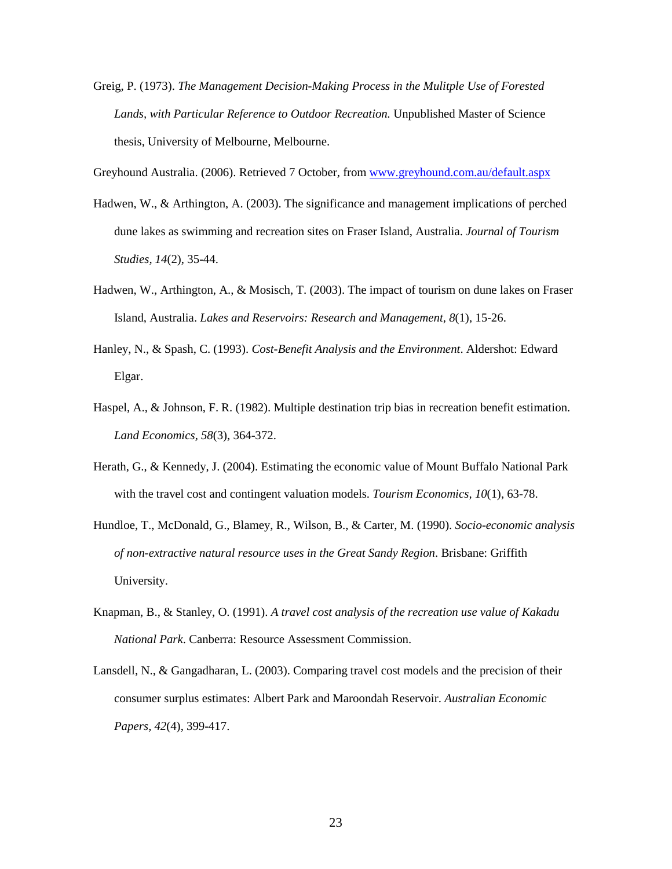Greig, P. (1973). *The Management Decision-Making Process in the Mulitple Use of Forested Lands, with Particular Reference to Outdoor Recreation.* Unpublished Master of Science thesis, University of Melbourne, Melbourne.

Greyhound Australia. (2006). Retrieved 7 October, from [www.greyhound.com.au/default.aspx](http://www.greyhound.com.au/default.aspx)

- Hadwen, W., & Arthington, A. (2003). The significance and management implications of perched dune lakes as swimming and recreation sites on Fraser Island, Australia. *Journal of Tourism Studies, 14*(2), 35-44.
- Hadwen, W., Arthington, A., & Mosisch, T. (2003). The impact of tourism on dune lakes on Fraser Island, Australia. *Lakes and Reservoirs: Research and Management, 8*(1), 15-26.
- Hanley, N., & Spash, C. (1993). *Cost-Benefit Analysis and the Environment*. Aldershot: Edward Elgar.
- Haspel, A., & Johnson, F. R. (1982). Multiple destination trip bias in recreation benefit estimation. *Land Economics, 58*(3), 364-372.
- Herath, G., & Kennedy, J. (2004). Estimating the economic value of Mount Buffalo National Park with the travel cost and contingent valuation models. *Tourism Economics, 10*(1), 63-78.
- Hundloe, T., McDonald, G., Blamey, R., Wilson, B., & Carter, M. (1990). *Socio-economic analysis of non-extractive natural resource uses in the Great Sandy Region*. Brisbane: Griffith University.
- Knapman, B., & Stanley, O. (1991). *A travel cost analysis of the recreation use value of Kakadu National Park*. Canberra: Resource Assessment Commission.
- Lansdell, N., & Gangadharan, L. (2003). Comparing travel cost models and the precision of their consumer surplus estimates: Albert Park and Maroondah Reservoir. *Australian Economic Papers, 42*(4), 399-417.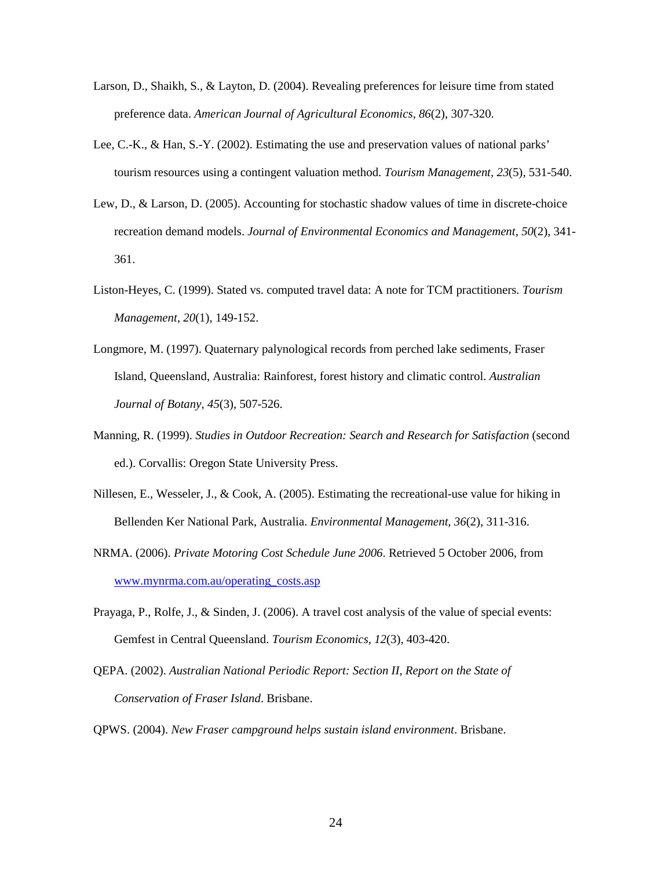- Larson, D., Shaikh, S., & Layton, D. (2004). Revealing preferences for leisure time from stated preference data. *American Journal of Agricultural Economics, 86*(2), 307-320.
- Lee, C.-K., & Han, S.-Y. (2002). Estimating the use and preservation values of national parks' tourism resources using a contingent valuation method. *Tourism Management, 23*(5), 531-540.
- Lew, D., & Larson, D. (2005). Accounting for stochastic shadow values of time in discrete-choice recreation demand models. *Journal of Environmental Economics and Management, 50*(2), 341- 361.
- Liston-Heyes, C. (1999). Stated vs. computed travel data: A note for TCM practitioners. *Tourism Management, 20*(1), 149-152.
- Longmore, M. (1997). Quaternary palynological records from perched lake sediments, Fraser Island, Queensland, Australia: Rainforest, forest history and climatic control. *Australian Journal of Botany, 45*(3), 507-526.
- Manning, R. (1999). *Studies in Outdoor Recreation: Search and Research for Satisfaction* (second ed.). Corvallis: Oregon State University Press.
- Nillesen, E., Wesseler, J., & Cook, A. (2005). Estimating the recreational-use value for hiking in Bellenden Ker National Park, Australia. *Environmental Management, 36*(2), 311-316.
- NRMA. (2006). *Private Motoring Cost Schedule June 2006*. Retrieved 5 October 2006, from [www.mynrma.com.au/operating\\_costs.asp](http://www.mynrma.com.au/operating_costs.asp)
- Prayaga, P., Rolfe, J., & Sinden, J. (2006). A travel cost analysis of the value of special events: Gemfest in Central Queensland. *Tourism Economics, 12*(3), 403-420.
- QEPA. (2002). *Australian National Periodic Report: Section II, Report on the State of Conservation of Fraser Island*. Brisbane.

QPWS. (2004). *New Fraser campground helps sustain island environment*. Brisbane.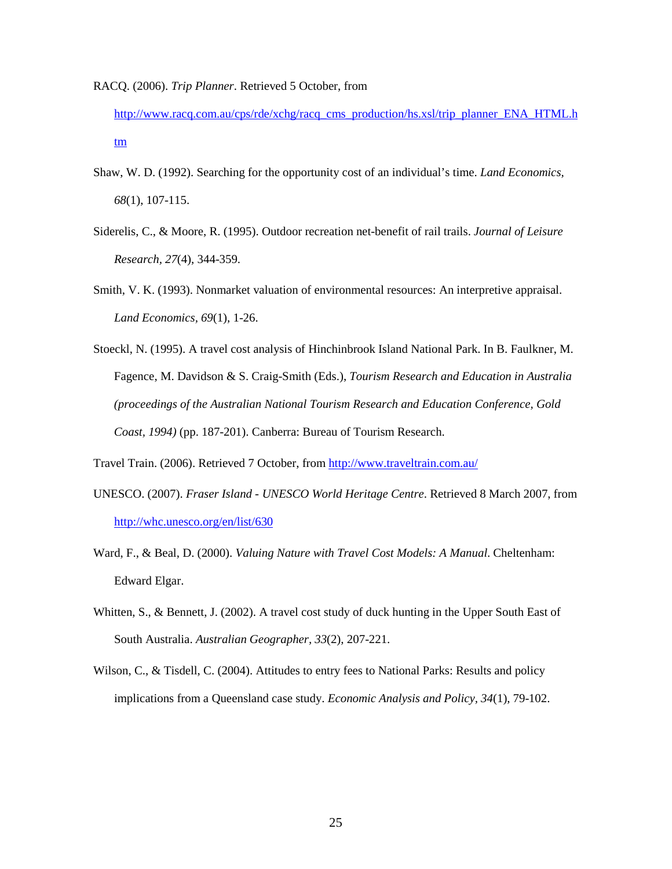RACQ. (2006). *Trip Planner*. Retrieved 5 October, from

[http://www.racq.com.au/cps/rde/xchg/racq\\_cms\\_production/hs.xsl/trip\\_planner\\_ENA\\_HTML.h](http://www.racq.com.au/cps/rde/xchg/racq_cms_production/hs.xsl/trip_planner_ENA_HTML.htm) [tm](http://www.racq.com.au/cps/rde/xchg/racq_cms_production/hs.xsl/trip_planner_ENA_HTML.htm)

- Shaw, W. D. (1992). Searching for the opportunity cost of an individual's time. *Land Economics, 68*(1), 107-115.
- Siderelis, C., & Moore, R. (1995). Outdoor recreation net-benefit of rail trails. *Journal of Leisure Research, 27*(4), 344-359.
- Smith, V. K. (1993). Nonmarket valuation of environmental resources: An interpretive appraisal. *Land Economics, 69*(1), 1-26.
- Stoeckl, N. (1995). A travel cost analysis of Hinchinbrook Island National Park. In B. Faulkner, M. Fagence, M. Davidson & S. Craig-Smith (Eds.), *Tourism Research and Education in Australia (proceedings of the Australian National Tourism Research and Education Conference, Gold Coast, 1994)* (pp. 187-201). Canberra: Bureau of Tourism Research.

Travel Train. (2006). Retrieved 7 October, from<http://www.traveltrain.com.au/>

- UNESCO. (2007). *Fraser Island - UNESCO World Heritage Centre*. Retrieved 8 March 2007, from <http://whc.unesco.org/en/list/630>
- Ward, F., & Beal, D. (2000). *Valuing Nature with Travel Cost Models: A Manual*. Cheltenham: Edward Elgar.
- Whitten, S., & Bennett, J. (2002). A travel cost study of duck hunting in the Upper South East of South Australia. *Australian Geographer, 33*(2), 207-221.
- Wilson, C., & Tisdell, C. (2004). Attitudes to entry fees to National Parks: Results and policy implications from a Queensland case study. *Economic Analysis and Policy, 34*(1), 79-102.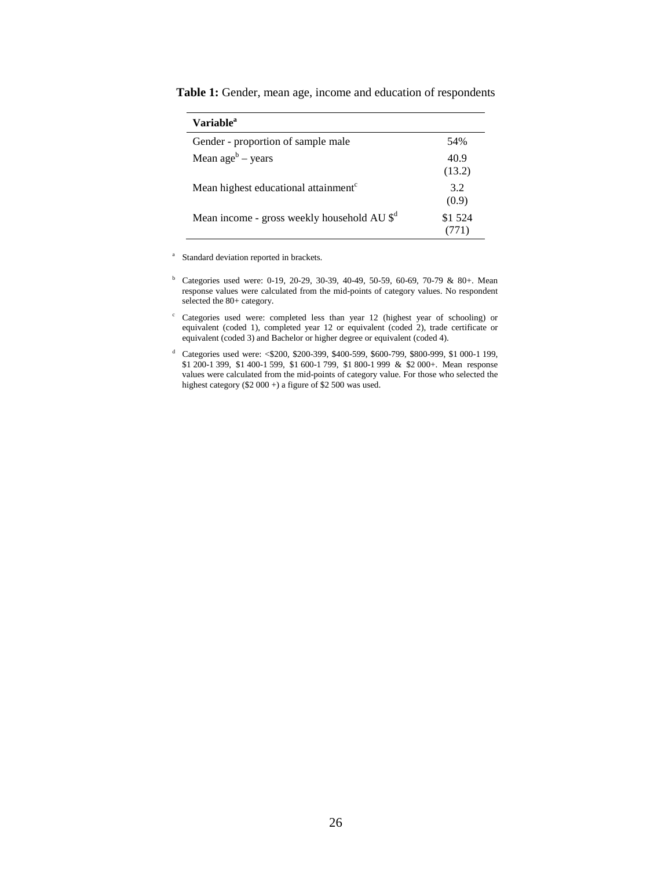| Variable <sup>a</sup>                                   |                |
|---------------------------------------------------------|----------------|
| Gender - proportion of sample male                      | 54%            |
| Mean $ageb - years$                                     | 40.9<br>(13.2) |
| Mean highest educational attainment <sup>c</sup>        | 3.2<br>(0.9)   |
| Mean income - gross weekly household AU $\mathcal{S}^d$ | \$1 524        |

**Table 1:** Gender, mean age, income and education of respondents

<sup>a</sup> Standard deviation reported in brackets.

- <sup>b</sup> Categories used were: 0-19, 20-29, 30-39, 40-49, 50-59, 60-69, 70-79 & 80+. Mean response values were calculated from the mid-points of category values. No respondent selected the 80+ category.
- <sup>c</sup> Categories used were: completed less than year 12 (highest year of schooling) or equivalent (coded 1), completed year 12 or equivalent (coded 2), trade certificate or equivalent (coded 3) and Bachelor or higher degree or equivalent (coded 4).
- <sup>d</sup> Categories used were: <\$200, \$200-399, \$400-599, \$600-799, \$800-999, \$1 000-1 199, \$1 200-1 399, \$1 400-1 599, \$1 600-1 799, \$1 800-1 999 & \$2 000+. Mean response values were calculated from the mid-points of category value. For those who selected the highest category (\$2 000 +) a figure of \$2 500 was used.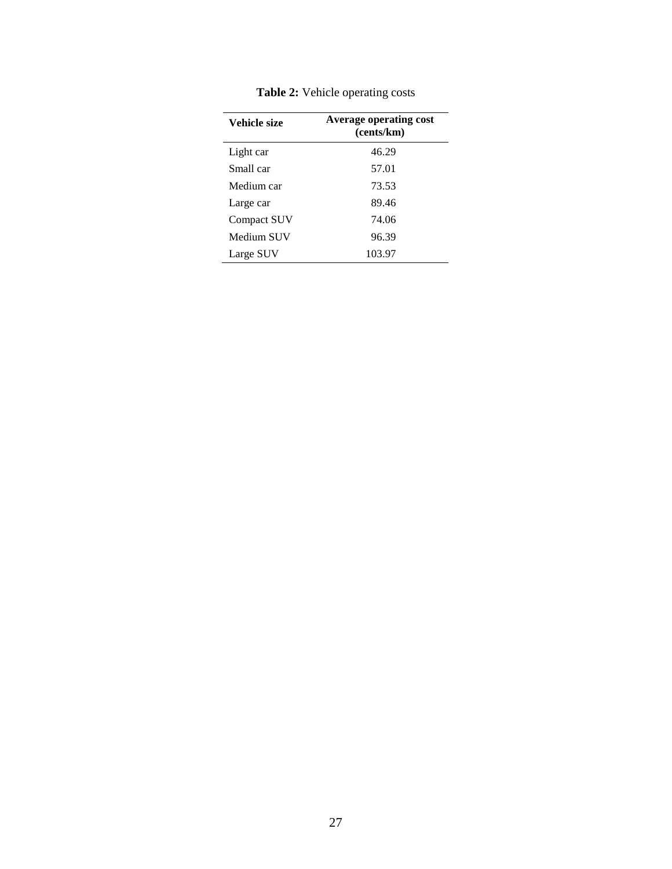| Vehicle size | <b>Average operating cost</b><br>(cents/km) |  |  |
|--------------|---------------------------------------------|--|--|
| Light car    | 46.29                                       |  |  |
| Small car    | 57.01                                       |  |  |
| Medium car   | 73.53                                       |  |  |
| Large car    | 89.46                                       |  |  |
| Compact SUV  | 74.06                                       |  |  |
| Medium SUV   | 96.39                                       |  |  |
| Large SUV    | 103.97                                      |  |  |

**Table 2:** Vehicle operating costs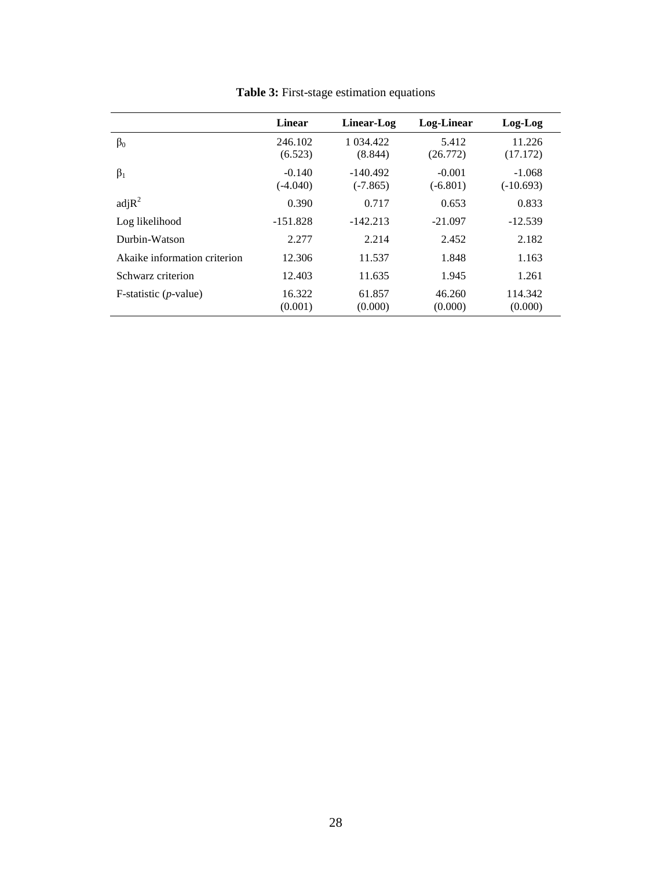|                                   | <b>Linear</b>          | Linear-Log               | Log-Linear             | Log-Log                 |
|-----------------------------------|------------------------|--------------------------|------------------------|-------------------------|
| $\beta_0$                         | 246.102<br>(6.523)     | 1 0 34.422<br>(8.844)    | 5.412<br>(26.772)      | 11.226<br>(17.172)      |
| $\beta_1$                         | $-0.140$<br>$(-4.040)$ | $-140.492$<br>$(-7.865)$ | $-0.001$<br>$(-6.801)$ | $-1.068$<br>$(-10.693)$ |
| $\text{adj}R^2$                   | 0.390                  | 0.717                    | 0.653                  | 0.833                   |
| Log likelihood                    | $-151.828$             | $-142.213$               | $-21.097$              | $-12.539$               |
| Durbin-Watson                     | 2.277                  | 2.214                    | 2.452                  | 2.182                   |
| Akaike information criterion      | 12.306                 | 11.537                   | 1.848                  | 1.163                   |
| Schwarz criterion                 | 12.403                 | 11.635                   | 1.945                  | 1.261                   |
| $F$ -statistic ( <i>p</i> -value) | 16.322<br>(0.001)      | 61.857<br>(0.000)        | 46.260<br>(0.000)      | 114.342<br>(0.000)      |

**Table 3:** First-stage estimation equations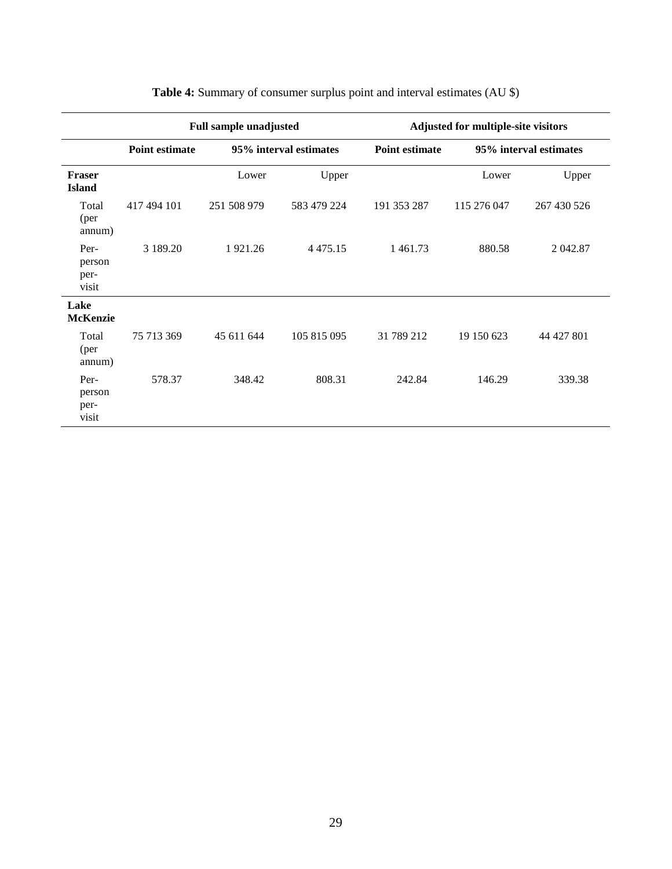|                                 | <b>Full sample unadjusted</b> |                        |               | Adjusted for multiple-site visitors |                        |             |
|---------------------------------|-------------------------------|------------------------|---------------|-------------------------------------|------------------------|-------------|
|                                 | <b>Point estimate</b>         | 95% interval estimates |               | <b>Point estimate</b>               | 95% interval estimates |             |
| <b>Fraser</b><br><b>Island</b>  |                               | Lower                  | Upper         |                                     | Lower                  | Upper       |
| Total<br>(per<br>annum)         | 417 494 101                   | 251 508 979            | 583 479 224   | 191 353 287                         | 115 276 047            | 267 430 526 |
| Per-<br>person<br>per-<br>visit | 3 189.20                      | 1921.26                | 4 4 7 5 . 1 5 | 1461.73                             | 880.58                 | 2 042.87    |
| Lake<br><b>McKenzie</b>         |                               |                        |               |                                     |                        |             |
| Total<br>(per<br>annum)         | 75 713 369                    | 45 611 644             | 105 815 095   | 31 789 212                          | 19 150 623             | 44 427 801  |
| Per-<br>person<br>per-<br>visit | 578.37                        | 348.42                 | 808.31        | 242.84                              | 146.29                 | 339.38      |

# **Table 4:** Summary of consumer surplus point and interval estimates (AU \$)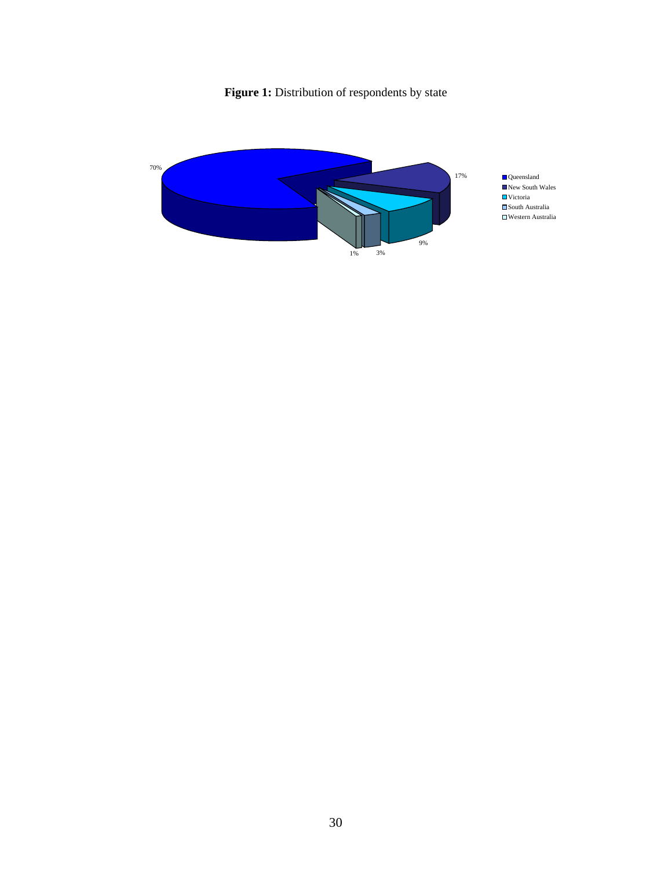Figure 1: Distribution of respondents by state

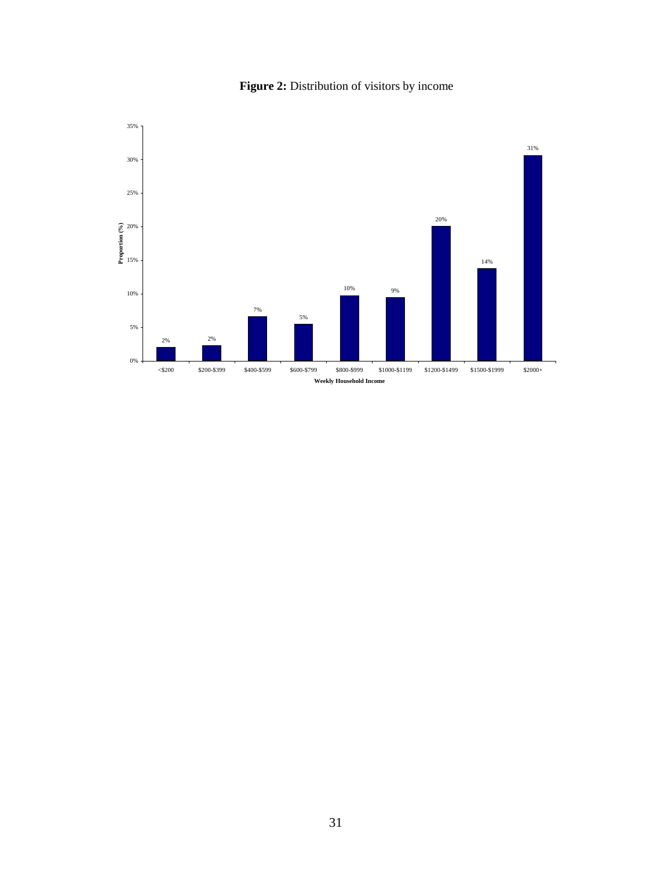

**Figure 2:** Distribution of visitors by income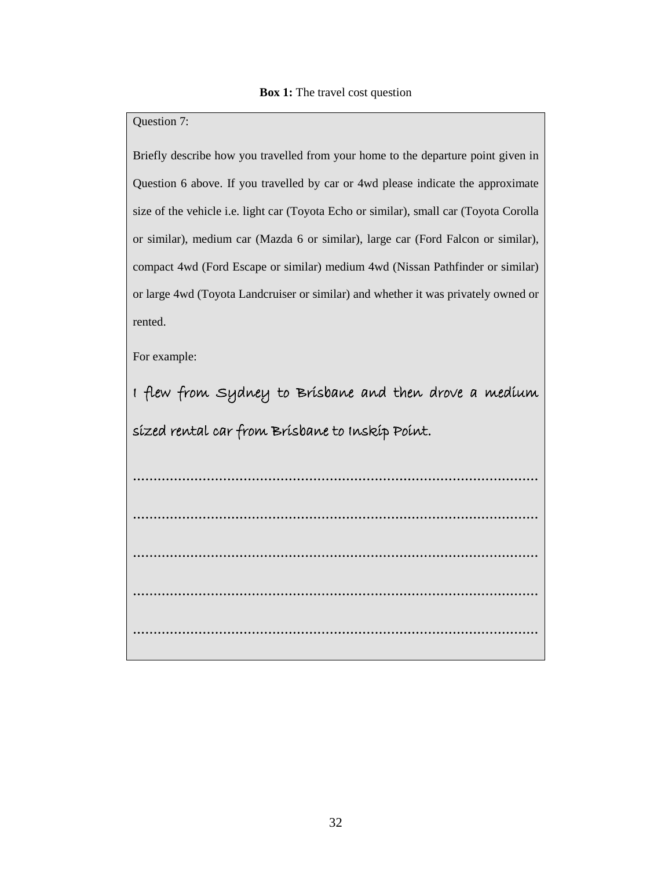Question 7:

Briefly describe how you travelled from your home to the departure point given in Question 6 above. If you travelled by car or 4wd please indicate the approximate size of the vehicle i.e. light car (Toyota Echo or similar), small car (Toyota Corolla or similar), medium car (Mazda 6 or similar), large car (Ford Falcon or similar), compact 4wd (Ford Escape or similar) medium 4wd (Nissan Pathfinder or similar) or large 4wd (Toyota Landcruiser or similar) and whether it was privately owned or rented.

For example:

I flew from Sydney to Brisbane and then drove a medium sized rental car from Brisbane to Inskip Point.

……………………………………………………………………………………… ……………………………………………………………………………………… ……………………………………………………………………………………… ……………………………………………………………………………………… ………………………………………………………………………………………